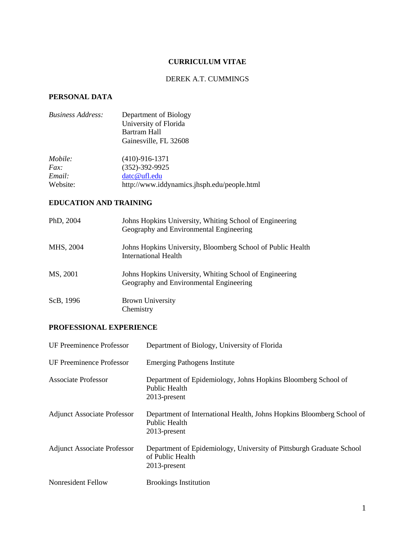# **CURRICULUM VITAE**

# DEREK A.T. CUMMINGS

# **PERSONAL DATA**

| <b>Business Address:</b> | Department of Biology                       |
|--------------------------|---------------------------------------------|
|                          | University of Florida                       |
|                          | Bartram Hall                                |
|                          | Gainesville, FL 32608                       |
| Mobile:                  | $(410)-916-1371$                            |
| Fax                      | $(352)-392-9925$                            |
| Email:                   | datc@ufl.edu                                |
| Website:                 | http://www.iddynamics.jhsph.edu/people.html |

# **EDUCATION AND TRAINING**

| PhD, 2004 | Johns Hopkins University, Whiting School of Engineering<br>Geography and Environmental Engineering |
|-----------|----------------------------------------------------------------------------------------------------|
| MHS, 2004 | Johns Hopkins University, Bloomberg School of Public Health<br>International Health                |
| MS, 2001  | Johns Hopkins University, Whiting School of Engineering<br>Geography and Environmental Engineering |
| ScB, 1996 | <b>Brown University</b><br>Chemistry                                                               |

### **PROFESSIONAL EXPERIENCE**

| <b>UF Preeminence Professor</b>    | Department of Biology, University of Florida                                                                |
|------------------------------------|-------------------------------------------------------------------------------------------------------------|
| <b>UF Preeminence Professor</b>    | <b>Emerging Pathogens Institute</b>                                                                         |
| <b>Associate Professor</b>         | Department of Epidemiology, Johns Hopkins Bloomberg School of<br><b>Public Health</b><br>2013-present       |
| <b>Adjunct Associate Professor</b> | Department of International Health, Johns Hopkins Bloomberg School of<br>Public Health<br>2013-present      |
| <b>Adjunct Associate Professor</b> | Department of Epidemiology, University of Pittsburgh Graduate School<br>of Public Health<br>$2013$ -present |
| <b>Nonresident Fellow</b>          | <b>Brookings Institution</b>                                                                                |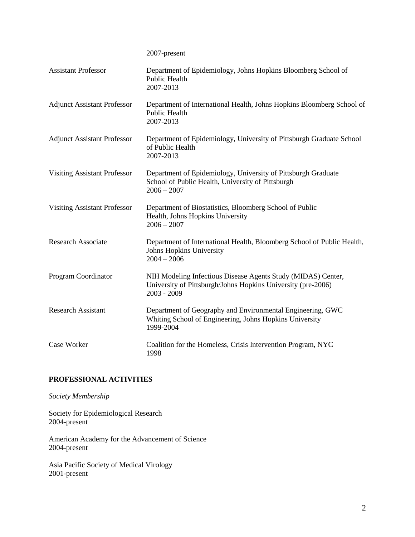2007-present

| <b>Assistant Professor</b>          | Department of Epidemiology, Johns Hopkins Bloomberg School of<br>Public Health<br>2007-2013                                                   |
|-------------------------------------|-----------------------------------------------------------------------------------------------------------------------------------------------|
| <b>Adjunct Assistant Professor</b>  | Department of International Health, Johns Hopkins Bloomberg School of<br>Public Health<br>2007-2013                                           |
| <b>Adjunct Assistant Professor</b>  | Department of Epidemiology, University of Pittsburgh Graduate School<br>of Public Health<br>2007-2013                                         |
| <b>Visiting Assistant Professor</b> | Department of Epidemiology, University of Pittsburgh Graduate<br>School of Public Health, University of Pittsburgh<br>$2006 - 2007$           |
| <b>Visiting Assistant Professor</b> | Department of Biostatistics, Bloomberg School of Public<br>Health, Johns Hopkins University<br>$2006 - 2007$                                  |
| <b>Research Associate</b>           | Department of International Health, Bloomberg School of Public Health,<br>Johns Hopkins University<br>$2004 - 2006$                           |
| Program Coordinator                 | NIH Modeling Infectious Disease Agents Study (MIDAS) Center,<br>University of Pittsburgh/Johns Hopkins University (pre-2006)<br>$2003 - 2009$ |
| <b>Research Assistant</b>           | Department of Geography and Environmental Engineering, GWC<br>Whiting School of Engineering, Johns Hopkins University<br>1999-2004            |
| Case Worker                         | Coalition for the Homeless, Crisis Intervention Program, NYC<br>1998                                                                          |

# **PROFESSIONAL ACTIVITIES**

*Society Membership*

Society for Epidemiological Research 2004-present

American Academy for the Advancement of Science 2004-present

Asia Pacific Society of Medical Virology 2001-present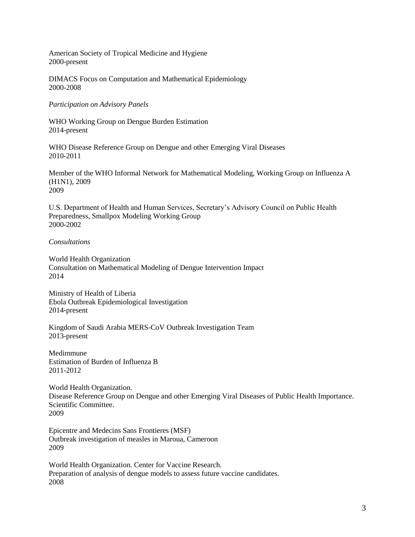American Society of Tropical Medicine and Hygiene 2000-present

DIMACS Focus on Computation and Mathematical Epidemiology 2000-2008

*Participation on Advisory Panels*

WHO Working Group on Dengue Burden Estimation 2014-present

WHO Disease Reference Group on Dengue and other Emerging Viral Diseases 2010-2011

Member of the WHO Informal Network for Mathematical Modeling, Working Group on Influenza A (H1N1), 2009 2009

U.S. Department of Health and Human Services, Secretary's Advisory Council on Public Health Preparedness, Smallpox Modeling Working Group 2000-2002

#### *Consultations*

World Health Organization Consultation on Mathematical Modeling of Dengue Intervention Impact 2014

Ministry of Health of Liberia Ebola Outbreak Epidemiological Investigation 2014-present

Kingdom of Saudi Arabia MERS-CoV Outbreak Investigation Team 2013-present

Medimmune Estimation of Burden of Influenza B 2011-2012

World Health Organization. Disease Reference Group on Dengue and other Emerging Viral Diseases of Public Health Importance. Scientific Committee. 2009

Epicentre and Medecins Sans Frontieres (MSF) Outbreak investigation of measles in Maroua, Cameroon 2009

World Health Organization. Center for Vaccine Research. Preparation of analysis of dengue models to assess future vaccine candidates. 2008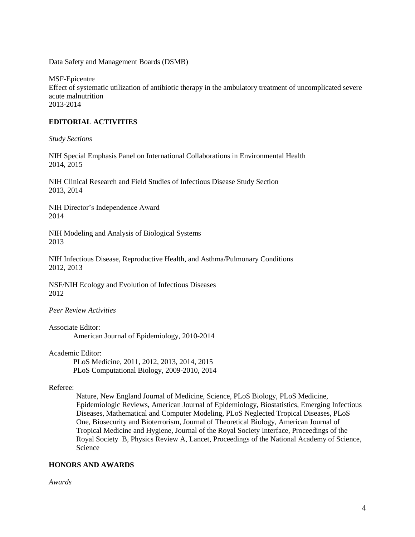Data Safety and Management Boards (DSMB)

MSF-Epicentre Effect of systematic utilization of antibiotic therapy in the ambulatory treatment of uncomplicated severe acute malnutrition 2013-2014

## **EDITORIAL ACTIVITIES**

*Study Sections*

NIH Special Emphasis Panel on International Collaborations in Environmental Health 2014, 2015

NIH Clinical Research and Field Studies of Infectious Disease Study Section 2013, 2014

NIH Director's Independence Award 2014

NIH Modeling and Analysis of Biological Systems 2013

NIH Infectious Disease, Reproductive Health, and Asthma/Pulmonary Conditions 2012, 2013

NSF/NIH Ecology and Evolution of Infectious Diseases 2012

*Peer Review Activities*

Associate Editor: American Journal of Epidemiology, 2010-2014

Academic Editor:

PLoS Medicine, 2011, 2012, 2013, 2014, 2015 PLoS Computational Biology, 2009-2010, 2014

## Referee:

Nature, New England Journal of Medicine, Science, PLoS Biology, PLoS Medicine, Epidemiologic Reviews, American Journal of Epidemiology, Biostatistics, Emerging Infectious Diseases, Mathematical and Computer Modeling, PLoS Neglected Tropical Diseases, PLoS One, Biosecurity and Bioterrorism, Journal of Theoretical Biology, American Journal of Tropical Medicine and Hygiene, Journal of the Royal Society Interface, Proceedings of the Royal Society B, Physics Review A, Lancet, Proceedings of the National Academy of Science, Science

## **HONORS AND AWARDS**

*Awards*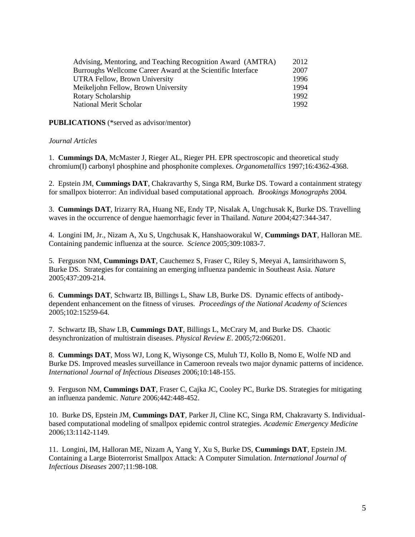| Advising, Mentoring, and Teaching Recognition Award (AMTRA) | 2012 |
|-------------------------------------------------------------|------|
| Burroughs Wellcome Career Award at the Scientific Interface | 2007 |
| UTRA Fellow, Brown University                               | 1996 |
| Meikeljohn Fellow, Brown University                         | 1994 |
| Rotary Scholarship                                          | 1992 |
| National Merit Scholar                                      | 1992 |

**PUBLICATIONS** (\*served as advisor/mentor)

#### *Journal Articles*

1. **Cummings DA**, McMaster J, Rieger AL, Rieger PH. EPR spectroscopic and theoretical study chromium(I) carbonyl phosphine and phosphonite complexes. *Organometallics* 1997;16:4362-4368.

2. Epstein JM, **Cummings DAT**, Chakravarthy S, Singa RM, Burke DS. Toward a containment strategy for smallpox bioterror: An individual based computational approach. *Brookings Monographs* 2004*.*

3. **Cummings DAT**, Irizarry RA, Huang NE, Endy TP, Nisalak A, Ungchusak K, Burke DS. Travelling waves in the occurrence of dengue haemorrhagic fever in Thailand. *Nature* 2004;427:344-347.

4. Longini IM, Jr., Nizam A, Xu S, Ungchusak K, Hanshaoworakul W, **Cummings DAT**, Halloran ME. Containing pandemic influenza at the source. *Science* 2005;309:1083-7.

5. Ferguson NM, **Cummings DAT**, Cauchemez S, Fraser C, Riley S, Meeyai A, Iamsirithaworn S, Burke DS. Strategies for containing an emerging influenza pandemic in Southeast Asia. *Nature* 2005;437:209-214.

6. **Cummings DAT**, Schwartz IB, Billings L, Shaw LB, Burke DS. Dynamic effects of antibodydependent enhancement on the fitness of viruses. *Proceedings of the National Academy of Sciences* 2005;102:15259-64.

7. Schwartz IB, Shaw LB, **Cummings DAT**, Billings L, McCrary M, and Burke DS. Chaotic desynchronization of multistrain diseases. *Physical Review E*. 2005;72:066201.

8. **Cummings DAT**, Moss WJ, Long K, Wiysonge CS, Muluh TJ, Kollo B, Nomo E, Wolfe ND and Burke DS. Improved measles surveillance in Cameroon reveals two major dynamic patterns of incidence. *International Journal of Infectious Diseases* 2006;10:148-155.

9. Ferguson NM, **Cummings DAT**, Fraser C, Cajka JC, Cooley PC, Burke DS. Strategies for mitigating an influenza pandemic. *Nature* 2006;442:448-452.

10. Burke DS, Epstein JM, **Cummings DAT**, Parker JI, Cline KC, Singa RM, Chakravarty S. Individualbased computational modeling of smallpox epidemic control strategies. *Academic Emergency Medicine* 2006;13:1142-1149.

11. Longini, IM, Halloran ME, Nizam A, Yang Y, Xu S, Burke DS, **Cummings DAT**, Epstein JM. Containing a Large Bioterrorist Smallpox Attack: A Computer Simulation. *International Journal of Infectious Diseases* 2007;11:98-108.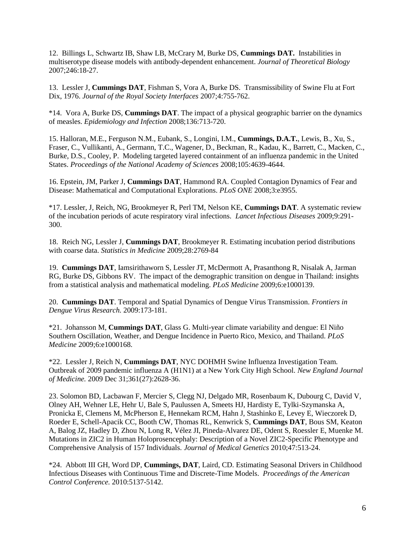12. Billings L, Schwartz IB, Shaw LB, McCrary M, Burke DS, **Cummings DAT.** Instabilities in multiserotype disease models with antibody-dependent enhancement. *Journal of Theoretical Biology* 2007;246:18-27.

13. Lessler J, **Cummings DAT**, Fishman S, Vora A, Burke DS. Transmissibility of Swine Flu at Fort Dix, 1976. *Journal of the Royal Society Interfaces* 2007;4:755-762.

\*14. Vora A, Burke DS, **Cummings DAT**. The impact of a physical geographic barrier on the dynamics of measles. *Epidemiology and Infection* 2008;136:713-720.

15. Halloran, M.E., Ferguson N.M., Eubank, S., Longini, I.M., **Cummings, D.A.T.**, Lewis, B., Xu, S., Fraser, C., Vullikanti, A., Germann, T.C., Wagener, D., Beckman, R., Kadau, K., Barrett, C., Macken, C., Burke, D.S., Cooley, P. Modeling targeted layered containment of an influenza pandemic in the United States. *Proceedings of the National Academy of Sciences* 2008;105:4639-4644.

16. Epstein, JM, Parker J, **Cummings DAT**, Hammond RA. Coupled Contagion Dynamics of Fear and Disease: Mathematical and Computational Explorations. *PLoS ONE* 2008;3:e3955.

\*17. Lessler, J, Reich, NG, Brookmeyer R, Perl TM, Nelson KE, **Cummings DAT**. A systematic review of the incubation periods of acute respiratory viral infections. *Lancet Infectious Diseases* 2009;9:291- 300.

18. Reich NG, Lessler J, **Cummings DAT**, Brookmeyer R. Estimating incubation period distributions with coarse data. *Statistics in Medicine* 2009;28:2769-84

19. **Cummings DAT**, Iamsirithaworn S, Lessler JT, McDermott A, Prasanthong R, Nisalak A, Jarman RG, Burke DS, Gibbons RV. [The impact of the demographic transition on dengue in Thailand: insights](http://www.ncbi.nlm.nih.gov/pubmed/19721696?ordinalpos=1&itool=EntrezSystem2.PEntrez.Pubmed.Pubmed_ResultsPanel.Pubmed_DefaultReportPanel.Pubmed_RVDocSum)  [from a statistical analysis and mathematical modeling.](http://www.ncbi.nlm.nih.gov/pubmed/19721696?ordinalpos=1&itool=EntrezSystem2.PEntrez.Pubmed.Pubmed_ResultsPanel.Pubmed_DefaultReportPanel.Pubmed_RVDocSum) *PLoS Medicine* 2009;6:e1000139.

20. **Cummings DAT**. Temporal and Spatial Dynamics of Dengue Virus Transmission. *Frontiers in Dengue Virus Research.* 2009:173-181.

\*21. Johansson M, **Cummings DAT**, Glass G. Multi-year climate variability and dengue: El Niño Southern Oscillation, Weather, and Dengue Incidence in Puerto Rico, Mexico, and Thailand. *PLoS Medicine* 2009;6:e1000168.

\*22. Lessler J, Reich N, **Cummings DAT**, NYC DOHMH Swine Influenza Investigation Team. Outbreak of 2009 pandemic influenza A (H1N1) at a New York City High School. *New England Journal of Medicine.* 2009 Dec 31;361(27):2628-36.

23. Solomon BD, Lacbawan F, Mercier S, Clegg NJ, Delgado MR, Rosenbaum K, Dubourg C, David V, Olney AH, Wehner LE, Hehr U, Bale S, Paulussen A, Smeets HJ, Hardisty E, Tylki-Szymanska A, Pronicka E, Clemens M, McPherson E, Hennekam RCM, Hahn J, Stashinko E, Levey E, Wieczorek D, Roeder E, Schell-Apacik CC, Booth CW, Thomas RL, Kenwrick S, **Cummings DAT**, Bous SM, Keaton A, Balog JZ, Hadley D, Zhou N, Long R, Vélez JI, Pineda-Alvarez DE, Odent S, Roessler E, Muenke M. Mutations in ZIC2 in Human Holoprosencephaly: Description of a Novel ZIC2-Specific Phenotype and Comprehensive Analysis of 157 Individuals. *Journal of Medical Genetics* 2010;47:513-24.

\*24. Abbott III GH, Word DP, **Cummings, DAT**, Laird, CD. Estimating Seasonal Drivers in Childhood Infectious Diseases with Continuous Time and Discrete-Time Models. *Proceedings of the American Control Conference.* 2010:5137-5142.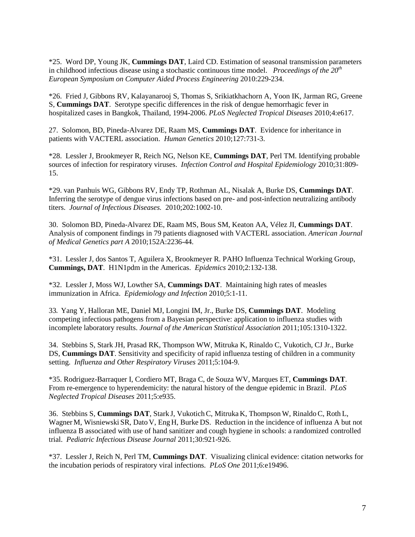\*25. Word DP, Young JK, **Cummings DAT**, Laird CD. Estimation of seasonal transmission parameters in childhood infectious disease using a stochastic continuous time model. *Proceedings of the 20th European Symposium on Computer Aided Process Engineering* 2010:229-234.

\*26. Fried J, Gibbons RV, Kalayanarooj S, Thomas S, Srikiatkhachorn A, Yoon IK, Jarman RG, Greene S, **Cummings DAT**. Serotype specific differences in the risk of dengue hemorrhagic fever in hospitalized cases in Bangkok, Thailand, 1994-2006. *PLoS Neglected Tropical Diseases* 2010;4:e617.

27. Solomon, BD, Pineda-Alvarez DE, Raam MS, **Cummings DAT**. Evidence for inheritance in patients with VACTERL association. *Human Genetics* 2010;127:731-3.

\*28. Lessler J, Brookmeyer R, Reich NG, Nelson KE, **Cummings DAT**, Perl TM. Identifying probable sources of infection for respiratory viruses. *Infection Control and Hospital Epidemiology* 2010;31:809- 15.

\*29. van Panhuis WG, Gibbons RV, Endy TP, Rothman AL, Nisalak A, Burke DS, **Cummings DAT**. Inferring the serotype of dengue virus infections based on pre- and post-infection neutralizing antibody titers. *Journal of Infectious Diseases.* 2010;202:1002-10.

30. Solomon BD, Pineda-Alvarez DE, Raam MS, Bous SM, Keaton AA, Vélez JI, **Cummings DAT**. Analysis of component findings in 79 patients diagnosed with VACTERL association. *American Journal of Medical Genetics part A* 2010;152A:2236-44.

\*31. Lessler J, dos Santos T, Aguilera X, Brookmeyer R. PAHO Influenza Technical Working Group, **Cummings, DAT**. H1N1pdm in the Americas. *Epidemics* 2010;2:132-138.

\*32. Lessler J, Moss WJ, Lowther SA, **Cummings DAT**. Maintaining high rates of measles immunization in Africa. *Epidemiology and Infection* 2010;5:1-11.

33. Yang Y, Halloran ME, Daniel MJ, Longini IM, Jr., Burke DS, **Cummings DAT**. Modeling competing infectious pathogens from a Bayesian perspective: application to influenza studies with incomplete laboratory results. *Journal of the American Statistical Association* 2011;105:1310-1322.

34. Stebbins S, Stark JH, Prasad RK, Thompson WW, Mitruka K, Rinaldo C, Vukotich, CJ Jr., Burke DS, **Cummings DAT**. Sensitivity and specificity of rapid influenza testing of children in a community setting. *Influenza and Other Respiratory Viruses* 2011;5:104-9.

\*35. Rodriguez-Barraquer I, Cordiero MT, Braga C, de Souza WV, Marques ET, **Cummings DAT**. From re-emergence to hyperendemicity: the natural history of the dengue epidemic in Brazil. *PLoS Neglected Tropical Diseases* 2011;5:e935.

36. Stebbins S, **Cummings DAT**, Stark J, VukotichC, Mitruka K, Thompson W, RinaldoC, Roth L, Wagner M, Wisniewski SR, Dato V, Eng H, Burke DS. Reduction in the incidence of influenza A but not influenza B associated with use of hand sanitizer and cough hygiene in schools: a randomized controlled trial. *Pediatric Infectious Disease Journal* 2011;30:921-926.

\*37. Lessler J, Reich N, Perl TM, **Cummings DAT**. Visualizing clinical evidence: citation networks for the incubation periods of respiratory viral infections. *PLoS One* 2011;6:e19496.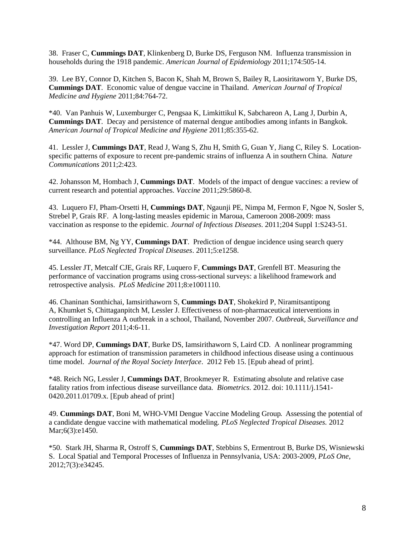38. Fraser C, **Cummings DAT**, Klinkenberg D, Burke DS, Ferguson NM. Influenza transmission in households during the 1918 pandemic. *American Journal of Epidemiology* 2011;174:505-14.

39. Lee BY, Connor D, Kitchen S, Bacon K, Shah M, Brown S, Bailey R, Laosiritaworn Y, Burke DS, **Cummings DAT**. Economic value of dengue vaccine in Thailand. *American Journal of Tropical Medicine and Hygiene* 2011;84:764-72.

\*40. Van Panhuis W, Luxemburger C, Pengsaa K, Limkittikul K, Sabchareon A, Lang J, Durbin A, **Cummings DAT**. Decay and persistence of maternal dengue antibodies among infants in Bangkok. *American Journal of Tropical Medicine and Hygiene* 2011;85:355-62.

41. Lessler J, **Cummings DAT**, Read J, Wang S, Zhu H, Smith G, Guan Y, Jiang C, Riley S. Locationspecific patterns of exposure to recent pre-pandemic strains of influenza A in southern China. *Nature Communications* 2011;2:423.

42. Johansson M, Hombach J, **Cummings DAT**. Models of the impact of dengue vaccines: a review of current research and potential approaches. *Vaccine* 2011;29:5860-8.

43. Luquero FJ, Pham-Orsetti H, **Cummings DAT**, Ngaunji PE, Nimpa M, Fermon F, Ngoe N, Sosler S, Strebel P, Grais RF. [A long-lasting measles epidemic in Maroua, Cameroon 2008-2009: mass](http://www.ncbi.nlm.nih.gov/pubmed/21666169)  [vaccination as response to the epidemic.](http://www.ncbi.nlm.nih.gov/pubmed/21666169) *Journal of Infectious Diseases*. 2011;204 Suppl 1:S243-51.

\*44. Althouse BM, Ng YY, **Cummings DAT**. [Prediction of dengue incidence using search query](http://www.ncbi.nlm.nih.gov/pubmed/21829744)  [surveillance.](http://www.ncbi.nlm.nih.gov/pubmed/21829744) *PLoS Neglected Tropical Diseases*. 2011;5:e1258.

45. Lessler JT, Metcalf CJE, Grais RF, Luquero F, **Cummings DAT**, Grenfell BT. Measuring the performance of vaccination programs using cross-sectional surveys: a likelihood framework and retrospective analysis. *PLoS Medicine* 2011;8:e1001110.

46. Chaninan Sonthichai, Iamsirithaworn S, **Cummings DAT**, Shokekird P, Niramitsantipong A, Khumket S, Chittaganpitch M, Lessler J. Effectiveness of non-pharmaceutical interventions in controlling an Influenza A outbreak in a school, Thailand, November 2007. *Outbreak, Surveillance and Investigation Report* 2011;4:6-11.

\*47. Word DP, **Cummings DAT**, Burke DS, Iamsirithaworn S, Laird CD. A nonlinear programming approach for estimation of transmission parameters in childhood infectious disease using a continuous time model. *Journal of the Royal Society Interface*. 2012 Feb 15. [Epub ahead of print].

\*48. Reich NG, Lessler J, **Cummings DAT**, Brookmeyer R. Estimating absolute and relative case fatality ratios from infectious disease surveillance data. *Biometrics.* 2012. doi: 10.1111/j.1541- 0420.2011.01709.x. [Epub ahead of print]

49. **Cummings DAT**, Boni M, WHO-VMI Dengue Vaccine Modeling Group. Assessing the potential of a candidate dengue vaccine with mathematical modeling. *PLoS Neglected Tropical Diseases.* 2012 Mar;6(3):e1450.

\*50. Stark JH, Sharma R, Ostroff S, **Cummings DAT**, Stebbins S, Ermentrout B, Burke DS, Wisniewski S. Local Spatial and Temporal Processes of Influenza in Pennsylvania, USA: 2003-2009, *PLoS One*, 2012;7(3):e34245.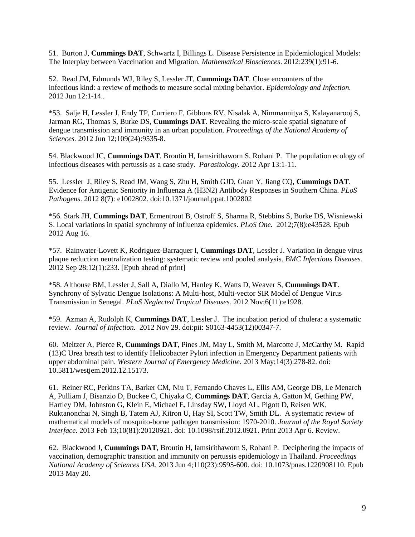51. Burton J, **Cummings DAT**, Schwartz I, Billings L. Disease Persistence in Epidemiological Models: The Interplay between Vaccination and Migration. *Mathematical Biosciences*. 2012:239(1):91-6.

52. Read JM, Edmunds WJ, Riley S, Lessler JT, **Cummings DAT**. Close encounters of the infectious kind: a review of methods to measure social mixing behavior. *Epidemiology and Infection.* 2012 Jun 12:1-14..

\*53. Salje H, Lessler J, Endy TP, Curriero F, Gibbons RV, Nisalak A, Nimmannitya S, Kalayanarooj S, Jarman RG, Thomas S, Burke DS, **Cummings DAT**. Revealing the micro-scale spatial signature of dengue transmission and immunity in an urban population. *Proceedings of the National Academy of Sciences.* 2012 Jun 12;109(24):9535-8.

54. Blackwood JC, **Cummings DAT**, Broutin H, Iamsirithaworn S, Rohani P. The population ecology of infectious diseases with pertussis as a case study. *Parasitology*. 2012 Apr 13:1-11.

55. Lessler J, Riley S, Read JM, Wang S, Zhu H, Smith GJD, Guan Y, Jiang CQ, **Cummings DAT**. Evidence for Antigenic Seniority in Influenza A (H3N2) Antibody Responses in Southern China. *PLoS Pathogens*. 2012 8(7): e1002802. doi:10.1371/journal.ppat.1002802

\*56. Stark JH, **Cummings DAT**, Ermentrout B, Ostroff S, Sharma R, Stebbins S, Burke DS, Wisniewski S. Local variations in spatial synchrony of influenza epidemics. *PLoS One.* 2012;7(8):e43528. Epub 2012 Aug 16.

\*57. Rainwater-Lovett K, Rodriguez-Barraquer I, **Cummings DAT**, Lessler J. Variation in dengue virus plaque reduction neutralization testing: systematic review and pooled analysis. *BMC Infectious Diseases.* 2012 Sep 28;12(1):233. [Epub ahead of print]

\*58. Althouse BM, Lessler J, Sall A, Diallo M, Hanley K, Watts D, Weaver S, **Cummings DAT**. Synchrony of Sylvatic Dengue Isolations: A Multi-host, Multi-vector SIR Model of Dengue Virus Transmission in Senegal. *PLoS Neglected Tropical Diseases.* 2012 Nov;6(11):e1928.

\*59. Azman A, Rudolph K, **Cummings DAT**, Lessler J. The incubation period of cholera: a systematic review. *Journal of Infection.* 2012 Nov 29. doi:pii: S0163-4453(12)00347-7.

60. Meltzer A, Pierce R, **Cummings DAT**, Pines JM, May L, Smith M, Marcotte J, McCarthy M. Rapid (13)C Urea breath test to identify Helicobacter Pylori infection in Emergency Department patients with upper abdominal pain. *Western Journal of Emergency Medicine.* 2013 May;14(3):278-82. doi: 10.5811/westjem.2012.12.15173.

61. Reiner RC, Perkins TA, Barker CM, Niu T, Fernando Chaves L, Ellis AM, George DB, Le Menarch A, Pulliam J, Bisanzio D, Buckee C, Chiyaka C, **Cummings DAT**, Garcia A, Gatton M, Gething PW, Hartley DM, Johnston G, Klein E, Michael E, Linsday SW, Lloyd AL, Pigott D, Reisen WK, Ruktanonchai N, Singh B, Tatem AJ, Kitron U, Hay SI, Scott TW, Smith DL. A systematic review of mathematical models of mosquito-borne pathogen transmission: 1970-2010. *Journal of the Royal Society Interface.* 2013 Feb 13;10(81):20120921. doi: 10.1098/rsif.2012.0921. Print 2013 Apr 6. Review.

62. Blackwood J, **Cummings DAT**, Broutin H, Iamsirithaworn S, Rohani P. Deciphering the impacts of vaccination, demographic transition and immunity on pertussis epidemiology in Thailand. *Proceedings National Academy of Sciences USA*. 2013 Jun 4;110(23):9595-600. doi: 10.1073/pnas.1220908110. Epub 2013 May 20.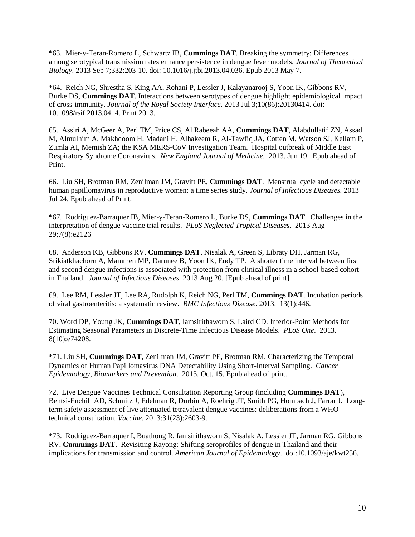\*63. Mier-y-Teran-Romero L, Schwartz IB, **Cummings DAT**. Breaking the symmetry: Differences among serotypical transmission rates enhance persistence in dengue fever models. *Journal of Theoretical Biology*. 2013 Sep 7;332:203-10. doi: 10.1016/j.jtbi.2013.04.036. Epub 2013 May 7.

\*64. Reich NG, Shrestha S, King AA, Rohani P, Lessler J, Kalayanarooj S, Yoon IK, Gibbons RV, Burke DS, **Cummings DAT**. Interactions between serotypes of dengue highlight epidemiological impact of cross-immunity. *Journal of the Royal Society Interface*. 2013 Jul 3;10(86):20130414. doi: 10.1098/rsif.2013.0414. Print 2013.

65. Assiri A, McGeer A, Perl TM, Price CS, Al Rabeeah AA, **Cummings DAT**, Alabdullatif ZN, Assad M, Almulhim A, Makhdoom H, Madani H, Alhakeem R, Al-Tawfiq JA, Cotten M, Watson SJ, Kellam P, Zumla AI, Memish ZA; the KSA MERS-CoV Investigation Team. Hospital outbreak of Middle East Respiratory Syndrome Coronavirus. *New England Journal of Medicine.* 2013. Jun 19. Epub ahead of Print.

66. Liu SH, Brotman RM, Zenilman JM, Gravitt PE, **Cummings DAT**. Menstrual cycle and detectable human papillomavirus in reproductive women: a time series study. *Journal of Infectious Diseases.* 2013 Jul 24. Epub ahead of Print.

\*67. Rodriguez-Barraquer IB, Mier-y-Teran-Romero L, Burke DS, **Cummings DAT**. Challenges in the interpretation of dengue vaccine trial results. *PLoS Neglected Tropical Diseases*. 2013 Aug 29;7(8):e2126

68. Anderson KB, Gibbons RV, **Cummings DAT**, Nisalak A, Green S, Libraty DH, Jarman RG, Srikiatkhachorn A, Mammen MP, Darunee B, Yoon IK, Endy TP. A shorter time interval between first and second dengue infections is associated with protection from clinical illness in a school-based cohort in Thailand. *Journal of Infectious Diseases*. 2013 Aug 20. [Epub ahead of print]

69. Lee RM, Lessler JT, Lee RA, Rudolph K, Reich NG, Perl TM, **Cummings DAT**. Incubation periods of viral gastroenteritis: a systematic review. *BMC Infectious Disease*. 2013. 13(1):446.

70. Word DP, Young JK, **Cummings DAT**, Iamsirithaworn S, Laird CD. Interior-Point Methods for Estimating Seasonal Parameters in Discrete-Time Infectious Disease Models. *PLoS One*. 2013. 8(10):e74208.

\*71. Liu SH, **Cummings DAT**, Zenilman JM, Gravitt PE, Brotman RM. Characterizing the Temporal Dynamics of Human Papillomavirus DNA Detectability Using Short-Interval Sampling. *Cancer Epidemiology, Biomarkers and Prevention*. 2013. Oct. 15. Epub ahead of print.

72. Live Dengue Vaccines Technical Consultation Reporting Group (including **Cummings DAT**), Bentsi-Enchill AD, Schmitz J, Edelman R, Durbin A, Roehrig JT, Smith PG, Hombach J, Farrar J. Longterm safety assessment of live attenuated tetravalent dengue vaccines: deliberations from a WHO technical consultation. *Vaccine*. 2013:31(23):2603-9.

\*73. Rodriguez-Barraquer I, Buathong R, Iamsirithaworn S, Nisalak A, Lessler JT, Jarman RG, Gibbons RV, **Cummings DAT**. Revisiting Rayong: Shifting seroprofiles of dengue in Thailand and their implications for transmission and control. *American Journal of Epidemiology*. doi:10.1093/aje/kwt256.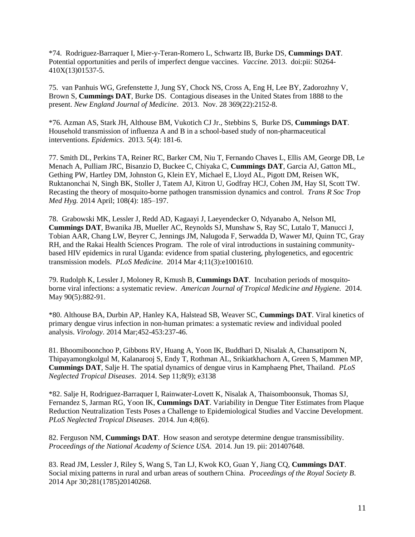\*74. Rodriguez-Barraquer I, Mier-y-Teran-Romero L, Schwartz IB, Burke DS, **Cummings DAT**. Potential opportunities and perils of imperfect dengue vaccines. *Vaccine.* 2013. doi:pii: S0264- 410X(13)01537-5.

75. van Panhuis WG, Grefenstette J, Jung SY, Chock NS, Cross A, Eng H, Lee BY, Zadorozhny V, Brown S, **Cummings DAT**, Burke DS. Contagious diseases in the United States from 1888 to the present. *New England Journal of Medicine*. 2013. Nov. 28 369(22):2152-8.

\*76. Azman AS, Stark JH, Althouse BM, Vukotich CJ Jr., Stebbins S, Burke DS, **Cummings DAT**. Household transmission of influenza A and B in a school-based study of non-pharmaceutical interventions. *Epidemics*. 2013. 5(4): 181-6.

77. Smith DL, Perkins TA, Reiner RC, Barker CM, Niu T, Fernando Chaves L, Ellis AM, George DB, Le Menach A, Pulliam JRC, Bisanzio D, Buckee C, Chiyaka C, **Cummings DAT**, Garcia AJ, Gatton ML, Gething PW, Hartley DM, Johnston G, Klein EY, Michael E, Lloyd AL, Pigott DM, Reisen WK, Ruktanonchai N, Singh BK, Stoller J, Tatem AJ, Kitron U, Godfray HCJ, Cohen JM, Hay SI, Scott TW. Recasting the theory of mosquito-borne pathogen transmission dynamics and control. *Trans R Soc Trop Med Hyg.* 2014 April; 108(4): 185–197.

78. Grabowski MK, Lessler J, Redd AD, Kagaayi J, Laeyendecker O, Ndyanabo A, Nelson MI, **Cummings DAT**, Bwanika JB, Mueller AC, Reynolds SJ, Munshaw S, Ray SC, Lutalo T, Manucci J, Tobian AAR, Chang LW, Beyrer C, Jennings JM, Nalugoda F, Serwadda D, Wawer MJ, Quinn TC, Gray RH, and the Rakai Health Sciences Program.The role of viral introductions in sustaining communitybased HIV epidemics in rural Uganda: evidence from spatial clustering, phylogenetics, and egocentric transmission models. *PLoS Medicine.* 2014 Mar 4;11(3):e1001610.

79. Rudolph K, Lessler J, Moloney R, Kmush B, **Cummings DAT**. Incubation periods of mosquitoborne viral infections: a systematic review. *American Journal of Tropical Medicine and Hygiene.* 2014. May 90(5):882-91.

\*80. Althouse BA, Durbin AP, Hanley KA, Halstead SB, Weaver SC, **Cummings DAT**. Viral kinetics of primary dengue virus infection in non-human primates: a systematic review and individual pooled analysis. *Virology*. 2014 Mar;452-453:237-46.

81. Bhoomiboonchoo P, Gibbons RV, Huang A, Yoon IK, Buddhari D, Nisalak A, Chansatiporn N, Thipayamongkolgul M, Kalanarooj S, Endy T, Rothman AL, Srikiatkhachorn A, Green S, Mammen MP, **Cummings DAT**, Salje H. The spatial dynamics of dengue virus in Kamphaeng Phet, Thailand. *PLoS Neglected Tropical Diseases*. 2014. Sep 11;8(9); e3138

\*82. Salje H, Rodriguez-Barraquer I, Rainwater-Lovett K, Nisalak A, Thaisomboonsuk, Thomas SJ, Fernandez S, Jarman RG, Yoon IK, **Cummings DAT**. Variability in Dengue Titer Estimates from Plaque Reduction Neutralization Tests Poses a Challenge to Epidemiological Studies and Vaccine Development. *PLoS Neglected Tropical Diseases*. 2014. Jun 4;8(6).

82. Ferguson NM, **Cummings DAT**. How season and serotype determine dengue transmissibility. *Proceedings of the National Academy of Science USA*. 2014. Jun 19. pii: 201407648.

83. Read JM, Lessler J, Riley S, Wang S, Tan LJ, Kwok KO, Guan Y, Jiang CQ, **Cummings DAT**. Social mixing patterns in rural and urban areas of southern China. *Proceedings of the Royal Society B*. 2014 Apr 30;281(1785)20140268.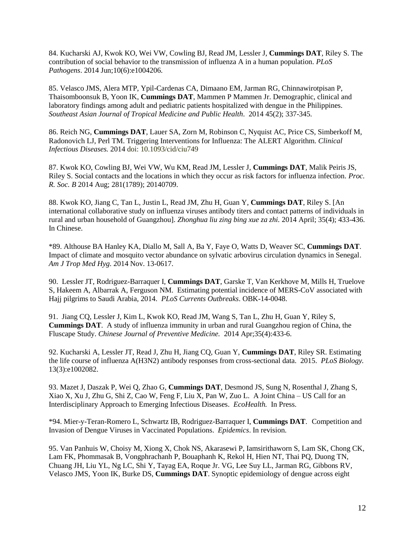84. Kucharski AJ, Kwok KO, Wei VW, Cowling BJ, Read JM, Lessler J, **Cummings DAT**, Riley S. The contribution of social behavior to the transmission of influenza A in a human population. *PLoS Pathogens*. 2014 Jun;10(6):e1004206.

85. Velasco JMS, Alera MTP, Ypil-Cardenas CA, Dimaano EM, Jarman RG, Chinnawirotpisan P, Thaisomboonsuk B, Yoon IK, **Cummings DAT**, Mammen P Mammen Jr. Demographic, clinical and laboratory findings among adult and pediatric patients hospitalized with dengue in the Philippines. *Southeast Asian Journal of Tropical Medicine and Public Health*. 2014 45(2); 337-345.

86. Reich NG, **Cummings DAT**, Lauer SA, Zorn M, Robinson C, Nyquist AC, Price CS, Simberkoff M, Radonovich LJ, Perl TM. Triggering Interventions for Influenza: The ALERT Algorithm. *Clinical Infectious Diseases.* 2014 doi: 10.1093/cid/ciu749

87. Kwok KO, Cowling BJ, Wei VW, Wu KM, Read JM, Lessler J, **Cummings DAT**, Malik Peiris JS, Riley S. Social contacts and the locations in which they occur as risk factors for influenza infection. *Proc. R. Soc. B* 2014 Aug; 281(1789); 20140709.

88. Kwok KO, Jiang C, Tan L, Justin L, Read JM, Zhu H, Guan Y, **Cummings DAT**, Riley S. [An international collaborative study on influenza viruses antibody titers and contact patterns of individuals in rural and urban household of Guangzhou]. *Zhonghua liu zing bing xue za zhi.* 2014 April; 35(4); 433-436. In Chinese.

\*89. Althouse BA Hanley KA, Diallo M, Sall A, Ba Y, Faye O, Watts D, Weaver SC, **Cummings DAT**. Impact of climate and mosquito vector abundance on sylvatic arbovirus circulation dynamics in Senegal. *Am J Trop Med Hyg*. 2014 Nov. 13-0617.

90. Lessler JT, Rodriguez-Barraquer I, **Cummings DAT**, Garske T, Van Kerkhove M, Mills H, Truelove S, Hakeem A, Albarrak A, Ferguson NM. Estimating potential incidence of MERS-CoV associated with Hajj pilgrims to Saudi Arabia, 2014. *PLoS Currents Outbreaks*. OBK-14-0048.

91. Jiang CQ, Lessler J, Kim L, Kwok KO, Read JM, Wang S, Tan L, Zhu H, Guan Y, Riley S, **Cummings DAT**. A study of influenza immunity in urban and rural Guangzhou region of China, the Fluscape Study. *Chinese Journal of Preventive Medicine.* 2014 Apr;35(4):433-6.

92. Kucharski A, Lessler JT, Read J, Zhu H, Jiang CQ, Guan Y, **Cummings DAT**, Riley SR. Estimating the life course of influenza A(H3N2) antibody responses from cross-sectional data. 2015. *PLoS Biology.* 13(3):e1002082.

93. Mazet J, Daszak P, Wei Q, Zhao G, **Cummings DAT**, Desmond JS, Sung N, Rosenthal J, Zhang S, Xiao X, Xu J, Zhu G, Shi Z, Cao W, Feng F, Liu X, Pan W, Zuo L. A Joint China – US Call for an Interdisciplinary Approach to Emerging Infectious Diseases. *EcoHealth.* In Press.

\*94. Mier-y-Teran-Romero L, Schwartz IB, Rodriguez-Barraquer I, **Cummings DAT**. Competition and Invasion of Dengue Viruses in Vaccinated Populations. *Epidemics*. In revision.

95. Van Panhuis W, Choisy M, Xiong X, Chok NS, Akarasewi P, Iamsirithaworn S, Lam SK, Chong CK, Lam FK, Phommasak B, Vongphrachanh P, Bouaphanh K, Rekol H, Hien NT, Thai PQ, Duong TN, Chuang JH, Liu YL, Ng LC, Shi Y, Tayag EA, Roque Jr. VG, Lee Suy LL, Jarman RG, Gibbons RV, Velasco JMS, Yoon IK, Burke DS, **Cummings DAT**. Synoptic epidemiology of dengue across eight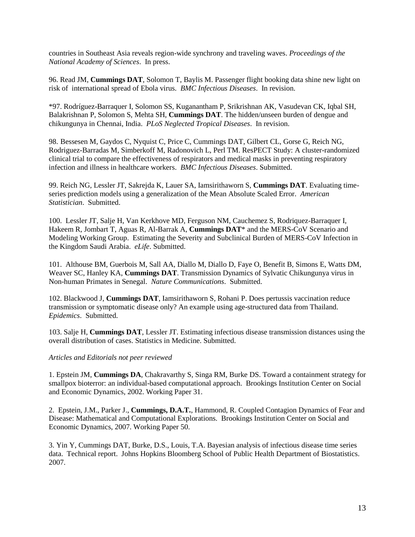countries in Southeast Asia reveals region-wide synchrony and traveling waves. *Proceedings of the National Academy of Sciences*. In press.

96. Read JM, **Cummings DAT**, Solomon T, Baylis M. Passenger flight booking data shine new light on risk of international spread of Ebola virus. *BMC Infectious Diseases*. In revision.

\*97. Rodríguez-Barraquer I, Solomon SS, Kuganantham P, Srikrishnan AK, Vasudevan CK, Iqbal SH, Balakrishnan P, Solomon S, Mehta SH, **Cummings DAT**. The hidden/unseen burden of dengue and chikungunya in Chennai, India. *PLoS Neglected Tropical Diseases*. In revision.

98. Bessesen M, Gaydos C, Nyquist C, Price C, Cummings DAT, Gilbert CL, Gorse G, Reich NG, Rodriguez-Barradas M, Simberkoff M, Radonovich L, Perl TM. ResPECT Study: A cluster-randomized clinical trial to compare the effectiveness of respirators and medical masks in preventing respiratory infection and illness in healthcare workers. *BMC Infectious Diseases*. Submitted.

99. Reich NG, Lessler JT, Sakrejda K, Lauer SA, Iamsirithaworn S, **Cummings DAT**. Evaluating timeseries prediction models using a generalization of the Mean Absolute Scaled Error. *American Statistician*. Submitted.

100. Lessler JT, Salje H, Van Kerkhove MD, Ferguson NM, Cauchemez S, Rodriquez-Barraquer I, Hakeem R, Jombart T, Aguas R, Al-Barrak A, **Cummings DAT**\* and the MERS-CoV Scenario and Modeling Working Group. Estimating the Severity and Subclinical Burden of MERS-CoV Infection in the Kingdom Saudi Arabia. *eLife*. Submitted.

101. Althouse BM, Guerbois M, Sall AA, Diallo M, Diallo D, Faye O, Benefit B, Simons E, Watts DM, Weaver SC, Hanley KA, **Cummings DAT**. Transmission Dynamics of Sylvatic Chikungunya virus in Non-human Primates in Senegal. *Nature Communications*. Submitted.

102. Blackwood J, **Cummings DAT**, Iamsirithaworn S, Rohani P. Does pertussis vaccination reduce transmission or symptomatic disease only? An example using age-structured data from Thailand. *Epidemics*. Submitted.

103. Salje H, **Cummings DAT**, Lessler JT. Estimating infectious disease transmission distances using the overall distribution of cases. Statistics in Medicine. Submitted.

*Articles and Editorials not peer reviewed*

1. Epstein JM, **Cummings DA**, Chakravarthy S, Singa RM, Burke DS. Toward a containment strategy for smallpox bioterror: an individual-based computational approach. Brookings Institution Center on Social and Economic Dynamics, 2002. Working Paper 31.

2. Epstein, J.M., Parker J., **Cummings, D.A.T.**, Hammond, R. Coupled Contagion Dynamics of Fear and Disease: Mathematical and Computational Explorations. Brookings Institution Center on Social and Economic Dynamics, 2007. Working Paper 50.

3. Yin Y, Cummings DAT, Burke, D.S., Louis, T.A. Bayesian analysis of infectious disease time series data. Technical report. Johns Hopkins Bloomberg School of Public Health Department of Biostatistics. 2007.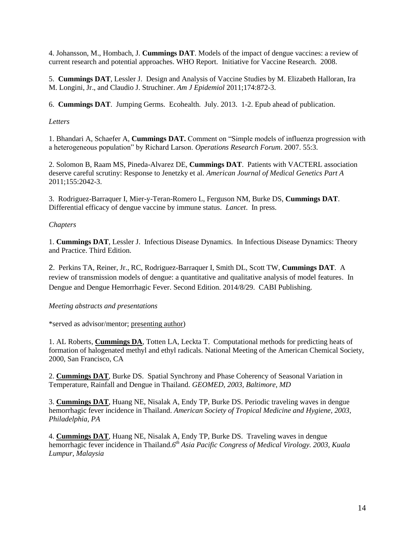4. Johansson, M., Hombach, J. **Cummings DAT**. Models of the impact of dengue vaccines: a review of current research and potential approaches. WHO Report. Initiative for Vaccine Research. 2008.

5. **Cummings DAT**, Lessler J. Design and Analysis of Vaccine Studies by M. Elizabeth Halloran, Ira M. Longini, Jr., and Claudio J. Struchiner. *Am J Epidemiol* 2011;174:872-3.

6. **Cummings DAT**. Jumping Germs. Ecohealth. July. 2013. 1-2. Epub ahead of publication.

# *Letters*

1. Bhandari A, Schaefer A, **Cummings DAT.** Comment on "Simple models of influenza progression with a heterogeneous population" by Richard Larson. *Operations Research Forum*. 2007. 55:3.

2. Solomon B, Raam MS, Pineda-Alvarez DE, **Cummings DAT**. Patients with VACTERL association deserve careful scrutiny: Response to Jenetzky et al. *American Journal of Medical Genetics Part A* 2011;155:2042-3.

3. Rodriguez-Barraquer I, Mier-y-Teran-Romero L, Ferguson NM, Burke DS, **Cummings DAT**. Differential efficacy of dengue vaccine by immune status. *Lancet*. In press.

# *Chapters*

1. **Cummings DAT**, Lessler J. Infectious Disease Dynamics. In Infectious Disease Dynamics: Theory and Practice. Third Edition.

2. Perkins TA, Reiner, Jr., RC, Rodriguez-Barraquer I, Smith DL, Scott TW, **Cummings DAT**. A review of transmission models of dengue: a quantitative and qualitative analysis of model features. In Dengue and Dengue Hemorrhagic Fever. Second Edition. 2014/8/29. CABI Publishing.

## *Meeting abstracts and presentations*

\*served as advisor/mentor; presenting author)

1. AL Roberts, **Cummings DA**, Totten LA, Leckta T. Computational methods for predicting heats of formation of halogenated methyl and ethyl radicals. National Meeting of the American Chemical Society, 2000, San Francisco, CA

2. **Cummings DAT**, Burke DS. Spatial Synchrony and Phase Coherency of Seasonal Variation in Temperature, Rainfall and Dengue in Thailand. *GEOMED, 2003, Baltimore, MD*

3. **Cummings DAT**, Huang NE, Nisalak A, Endy TP, Burke DS. Periodic traveling waves in dengue hemorrhagic fever incidence in Thailand. *American Society of Tropical Medicine and Hygiene, 2003, Philadelphia, PA*

4. **Cummings DAT**, Huang NE, Nisalak A, Endy TP, Burke DS. Traveling waves in dengue hemorrhagic fever incidence in Thailand.*6 th Asia Pacific Congress of Medical Virology. 2003, Kuala Lumpur, Malaysia*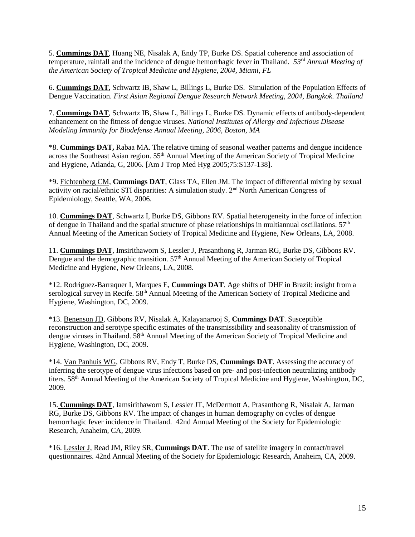5. **Cummings DAT**, Huang NE, Nisalak A, Endy TP, Burke DS. Spatial coherence and association of temperature, rainfall and the incidence of dengue hemorrhagic fever in Thailand. *53rd Annual Meeting of the American Society of Tropical Medicine and Hygiene, 2004, Miami, FL*

6. **Cummings DAT**, Schwartz IB, Shaw L, Billings L, Burke DS. Simulation of the Population Effects of Dengue Vaccination. *First Asian Regional Dengue Research Network Meeting, 2004, Bangkok. Thailand*

7. **Cummings DAT**, Schwartz IB, Shaw L, Billings L, Burke DS. Dynamic effects of antibody-dependent enhancement on the fitness of dengue viruses. *National Institutes of Allergy and Infectious Disease Modeling Immunity for Biodefense Annual Meeting, 2006, Boston, MA*

\*8. **Cummings DAT,** Rabaa MA. The relative timing of seasonal weather patterns and dengue incidence across the Southeast Asian region. 55<sup>th</sup> Annual Meeting of the American Society of Tropical Medicine and Hygiene, Atlanda, G, 2006. [Am J Trop Med Hyg 2005;75:S137-138].

\*9. Fichtenberg CM, **Cummings DAT**, Glass TA, Ellen JM. The impact of differential mixing by sexual activity on racial/ethnic STI disparities: A simulation study. 2nd North American Congress of Epidemiology, Seattle, WA, 2006.

10. **Cummings DAT**, Schwartz I, Burke DS, Gibbons RV. Spatial heterogeneity in the force of infection of dengue in Thailand and the spatial structure of phase relationships in multiannual oscillations.  $57<sup>th</sup>$ Annual Meeting of the American Society of Tropical Medicine and Hygiene, New Orleans, LA, 2008.

11. **Cummings DAT**, Imsirithaworn S, Lessler J, Prasanthong R, Jarman RG, Burke DS, Gibbons RV. Dengue and the demographic transition. 57<sup>th</sup> Annual Meeting of the American Society of Tropical Medicine and Hygiene, New Orleans, LA, 2008.

\*12. Rodriguez-Barraquer I, Marques E, **Cummings DAT**. Age shifts of DHF in Brazil: insight from a serological survey in Recife. 58<sup>th</sup> Annual Meeting of the American Society of Tropical Medicine and Hygiene, Washington, DC, 2009.

\*13. Benenson JD, Gibbons RV, Nisalak A, Kalayanarooj S, **Cummings DAT**. Susceptible reconstruction and serotype specific estimates of the transmissibility and seasonality of transmission of dengue viruses in Thailand. 58<sup>th</sup> Annual Meeting of the American Society of Tropical Medicine and Hygiene, Washington, DC, 2009.

\*14. Van Panhuis WG, Gibbons RV, Endy T, Burke DS, **Cummings DAT**. Assessing the accuracy of inferring the serotype of dengue virus infections based on pre- and post-infection neutralizing antibody titers. 58th Annual Meeting of the American Society of Tropical Medicine and Hygiene, Washington, DC, 2009.

15. **Cummings DAT**, Iamsirithaworn S, Lessler JT, McDermott A, Prasanthong R, Nisalak A, Jarman RG, Burke DS, Gibbons RV. The impact of changes in human demography on cycles of dengue hemorrhagic fever incidence in Thailand. 42nd Annual Meeting of the Society for Epidemiologic Research, Anaheim, CA, 2009.

\*16. Lessler J, Read JM, Riley SR, **Cummings DAT**. The use of satellite imagery in contact/travel questionnaires. 42nd Annual Meeting of the Society for Epidemiologic Research, Anaheim, CA, 2009.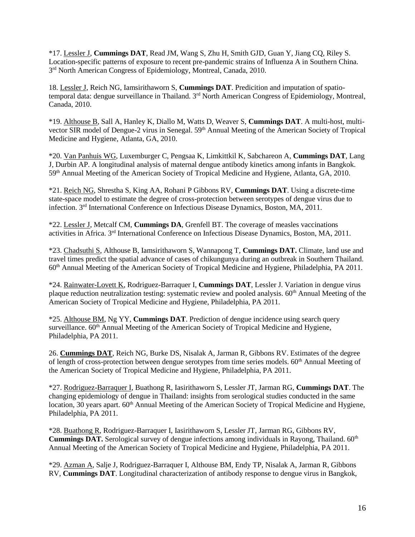\*17. Lessler J, **Cummings DAT**, Read JM, Wang S, Zhu H, Smith GJD, Guan Y, Jiang CQ, Riley S. Location-specific patterns of exposure to recent pre-pandemic strains of Influenza A in Southern China. 3<sup>rd</sup> North American Congress of Epidemiology, Montreal, Canada, 2010.

18. Lessler J, Reich NG, Iamsirithaworn S, **Cummings DAT**. Predicition and imputation of spatiotemporal data: dengue surveillance in Thailand. 3<sup>rd</sup> North American Congress of Epidemiology, Montreal, Canada, 2010.

\*19. Althouse B, Sall A, Hanley K, Diallo M, Watts D, Weaver S, **Cummings DAT**. A multi-host, multivector SIR model of Dengue-2 virus in Senegal. 59<sup>th</sup> Annual Meeting of the American Society of Tropical Medicine and Hygiene, Atlanta, GA, 2010.

\*20. Van Panhuis WG, Luxemburger C, Pengsaa K, Limkittkil K, Sabchareon A, **Cummings DAT**, Lang J, Durbin AP. A longitudinal analysis of maternal dengue antibody kinetics among infants in Bangkok. 59<sup>th</sup> Annual Meeting of the American Society of Tropical Medicine and Hygiene, Atlanta, GA, 2010.

\*21. Reich NG, Shrestha S, King AA, Rohani P Gibbons RV, **Cummings DAT**. Using a discrete-time state-space model to estimate the degree of cross-protection between serotypes of dengue virus due to infection. 3 rd International Conference on Infectious Disease Dynamics, Boston, MA, 2011.

\*22. Lessler J, Metcalf CM, **Cummings DA**, Grenfell BT. The coverage of measles vaccinations activities in Africa. 3rd International Conference on Infectious Disease Dynamics, Boston, MA, 2011.

\*23. Chadsuthi S, Althouse B, Iamsirithaworn S, Wannapong T, **Cummings DAT.** Climate, land use and travel times predict the spatial advance of cases of chikungunya during an outbreak in Southern Thailand. 60th Annual Meeting of the American Society of Tropical Medicine and Hygiene, Philadelphia, PA 2011.

\*24. Rainwater-Lovett K, Rodriguez-Barraquer I, **Cummings DAT**, Lessler J. Variation in dengue virus plaque reduction neutralization testing: systematic review and pooled analysis. 60<sup>th</sup> Annual Meeting of the American Society of Tropical Medicine and Hygiene, Philadelphia, PA 2011.

\*25. Althouse BM, Ng YY, **Cummings DAT**. Prediction of dengue incidence using search query surveillance. 60<sup>th</sup> Annual Meeting of the American Society of Tropical Medicine and Hygiene, Philadelphia, PA 2011.

26. **Cummings DAT**, Reich NG, Burke DS, Nisalak A, Jarman R, Gibbons RV. Estimates of the degree of length of cross-protection between dengue serotypes from time series models. 60<sup>th</sup> Annual Meeting of the American Society of Tropical Medicine and Hygiene, Philadelphia, PA 2011.

\*27. Rodriguez-Barraquer I, Buathong R, Iasirithaworn S, Lessler JT, Jarman RG, **Cummings DAT**. The changing epidemiology of dengue in Thailand: insights from serological studies conducted in the same location, 30 years apart. 60<sup>th</sup> Annual Meeting of the American Society of Tropical Medicine and Hygiene, Philadelphia, PA 2011.

\*28. Buathong R, Rodriguez-Barraquer I, Iasirithaworn S, Lessler JT, Jarman RG, Gibbons RV, **Cummings DAT.** Serological survey of dengue infections among individuals in Rayong, Thailand. 60<sup>th</sup> Annual Meeting of the American Society of Tropical Medicine and Hygiene, Philadelphia, PA 2011.

\*29. Azman A, Salje J, Rodriguez-Barraquer I, Althouse BM, Endy TP, Nisalak A, Jarman R, Gibbons RV, **Cummings DAT**. Longitudinal characterization of antibody response to dengue virus in Bangkok,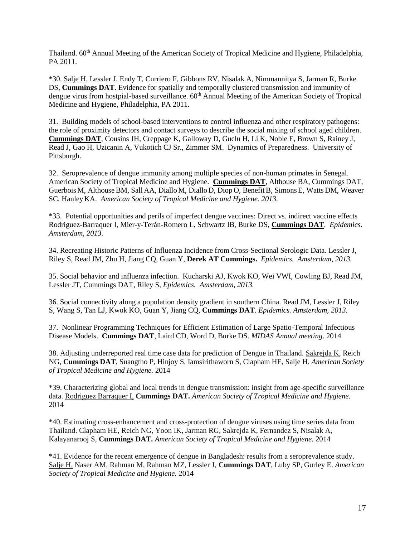Thailand. 60<sup>th</sup> Annual Meeting of the American Society of Tropical Medicine and Hygiene, Philadelphia, PA 2011.

\*30. Salje H, Lessler J, Endy T, Curriero F, Gibbons RV, Nisalak A, Nimmannitya S, Jarman R, Burke DS, **Cummings DAT**. Evidence for spatially and temporally clustered transmission and immunity of dengue virus from hostpial-based surveillance.  $60<sup>th</sup>$  Annual Meeting of the American Society of Tropical Medicine and Hygiene, Philadelphia, PA 2011.

31. Building models of school-based interventions to control influenza and other respiratory pathogens: the role of proximity detectors and contact surveys to describe the social mixing of school aged children. **Cummings DAT**, Cousins JH, Creppage K, Galloway D, Guclu H, Li K, Noble E, Brown S, Rainey J, Read J, Gao H, Uzicanin A, Vukotich CJ Sr., Zimmer SM. Dynamics of Preparedness. University of Pittsburgh.

32. Seroprevalence of dengue immunity among multiple species of non-human primates in Senegal. American Society of Tropical Medicine and Hygiene. **Cummings DAT**, Althouse BA, Cummings DAT, Guerbois M, Althouse BM, Sall AA, Diallo M, Diallo D, Diop O, Benefit B, Simons E, Watts DM, Weaver SC, HanleyKA. *American Society of Tropical Medicine and Hygiene. 2013.*

\*33. Potential opportunities and perils of imperfect dengue vaccines: Direct vs. indirect vaccine effects Rodriguez-Barraquer I, Mier-y-Terán-Romero L, Schwartz IB, Burke DS, **Cummings DAT**. *Epidemics. Amsterdam, 2013.*

34. Recreating Historic Patterns of Influenza Incidence from Cross-Sectional Serologic Data. Lessler J, Riley S, Read JM, Zhu H, Jiang CQ, Guan Y, **Derek AT Cummings.** *Epidemics. Amsterdam, 2013.*

35. Social behavior and influenza infection. Kucharski AJ, Kwok KO, Wei VWI, Cowling BJ, Read JM, Lessler JT, Cummings DAT, Riley S, *Epidemics. Amsterdam, 2013.*

36. Social connectivity along a population density gradient in southern China. Read JM, Lessler J, Riley S, Wang S, Tan LJ, Kwok KO, Guan Y, Jiang CQ, **Cummings DAT**. *Epidemics. Amsterdam, 2013.*

37. Nonlinear Programming Techniques for Efficient Estimation of Large Spatio-Temporal Infectious Disease Models. **Cummings DAT**, Laird CD, Word D, Burke DS. *MIDAS Annual meeting*. 2014

38. Adjusting underreported real time case data for prediction of Dengue in Thailand. Sakrejda K, Reich NG, **Cummings DAT**, Suangtho P, Hinjoy S, Iamsirithaworn S, Clapham HE, Salje H. *American Society of Tropical Medicine and Hygiene.* 2014

\*39. Characterizing global and local trends in dengue transmission: insight from age-specific surveillance data. Rodriguez Barraquer I, **Cummings DAT.** *American Society of Tropical Medicine and Hygiene.*  2014

\*40. Estimating cross-enhancement and cross-protection of dengue viruses using time series data from Thailand. Clapham HE, Reich NG, Yoon IK, Jarman RG, Sakrejda K, Fernandez S, Nisalak A, Kalayanarooj S, **Cummings DAT.** *American Society of Tropical Medicine and Hygiene.* 2014

\*41. Evidence for the recent emergence of dengue in Bangladesh: results from a seroprevalence study. Salje H, Naser AM, Rahman M, Rahman MZ, Lessler J, **Cummings DAT**, Luby SP, Gurley E. *American Society of Tropical Medicine and Hygiene.* 2014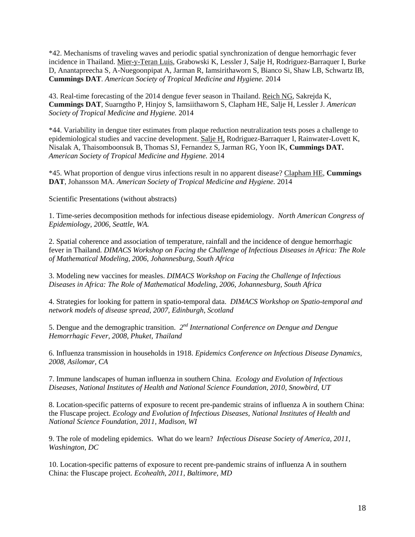\*42. Mechanisms of traveling waves and periodic spatial synchronization of dengue hemorrhagic fever incidence in Thailand. Mier-y-Teran Luis, Grabowski K, Lessler J, Salje H, Rodriguez-Barraquer I, Burke D, Anantapreecha S, A-Nuegoonpipat A, Jarman R, Iamsirithaworn S, Bianco Si, Shaw LB, Schwartz IB, **Cummings DAT**. *American Society of Tropical Medicine and Hygiene.* 2014

43. Real-time forecasting of the 2014 dengue fever season in Thailand. Reich NG, Sakrejda K, **Cummings DAT**, Suarngtho P, Hinjoy S, Iamsiithaworn S, Clapham HE, Salje H, Lessler J. *American Society of Tropical Medicine and Hygiene.* 2014

\*44. Variability in dengue titer estimates from plaque reduction neutralization tests poses a challenge to epidemiological studies and vaccine development. Salje H, Rodriguez-Barraquer I, Rainwater-Lovett K, Nisalak A, Thaisomboonsuk B, Thomas SJ, Fernandez S, Jarman RG, Yoon IK, **Cummings DAT.** *American Society of Tropical Medicine and Hygiene.* 2014

\*45. What proportion of dengue virus infections result in no apparent disease? Clapham HE, **Cummings DAT**, Johansson MA. *American Society of Tropical Medicine and Hygiene.* 2014

Scientific Presentations (without abstracts)

1. Time-series decomposition methods for infectious disease epidemiology. *North American Congress of Epidemiology, 2006, Seattle, WA.*

2. Spatial coherence and association of temperature, rainfall and the incidence of dengue hemorrhagic fever in Thailand. *DIMACS Workshop on Facing the Challenge of Infectious Diseases in Africa: The Role of Mathematical Modeling, 2006, Johannesburg, South Africa*

3. Modeling new vaccines for measles. *DIMACS Workshop on Facing the Challenge of Infectious Diseases in Africa: The Role of Mathematical Modeling, 2006, Johannesburg, South Africa*

4. Strategies for looking for pattern in spatio-temporal data. *DIMACS Workshop on Spatio-temporal and network models of disease spread, 2007, Edinburgh, Scotland*

5. Dengue and the demographic transition. *2 nd International Conference on Dengue and Dengue Hemorrhagic Fever, 2008, Phuket, Thailand*

6. Influenza transmission in households in 1918. *Epidemics Conference on Infectious Disease Dynamics, 2008, Asilomar, CA*

7. Immune landscapes of human influenza in southern China*. Ecology and Evolution of Infectious Diseases, National Institutes of Health and National Science Foundation, 2010, Snowbird, UT*

8. Location-specific patterns of exposure to recent pre-pandemic strains of influenza A in southern China: the Fluscape project. *Ecology and Evolution of Infectious Diseases, National Institutes of Health and National Science Foundation, 2011, Madison, WI*

9. The role of modeling epidemics. What do we learn? *Infectious Disease Society of America, 2011, Washington, DC*

10. Location-specific patterns of exposure to recent pre-pandemic strains of influenza A in southern China: the Fluscape project. *Ecohealth, 2011, Baltimore, MD*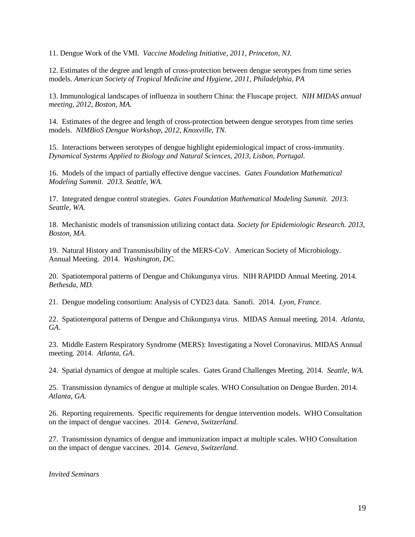11. Dengue Work of the VMI*. Vaccine Modeling Initiative, 2011, Princeton, NJ.*

12. Estimates of the degree and length of cross-protection between dengue serotypes from time series models. *American Society of Tropical Medicine and Hygiene, 2011, Philadelphia, PA*

13. Immunological landscapes of influenza in southern China: the Fluscape project. *NIH MIDAS annual meeting, 2012, Boston, MA.*

14. Estimates of the degree and length of cross-protection between dengue serotypes from time series models. *NIMBioS Dengue Workshop, 2012, Knoxville, TN.*

15. Interactions between serotypes of dengue highlight epidemiological impact of cross-immunity. *Dynamical Systems Applied to Biology and Natural Sciences, 2013, Lisbon, Portugal.*

16. Models of the impact of partially effective dengue vaccines. *Gates Foundation Mathematical Modeling Summit. 2013. Seattle, WA.*

17. Integrated dengue control strategies. *Gates Foundation Mathematical Modeling Summit. 2013. Seattle, WA.*

18. Mechanistic models of transmission utilizing contact data. *Society for Epidemiologic Research. 2013*, *Boston, MA*.

19. Natural History and Transmissibility of the MERS-CoV. American Society of Microbiology. Annual Meeting. 2014. *Washington, DC.*

20. Spatiotemporal patterns of Dengue and Chikungunya virus. NIH RAPIDD Annual Meeting. 2014. *Bethesda, MD.*

21. Dengue modeling consortium: Analysis of CYD23 data. Sanofi. 2014. *Lyon, France.* 

22. Spatiotemporal patterns of Dengue and Chikungunya virus. MIDAS Annual meeting. 2014. *Atlanta, GA*.

23. Middle Eastern Respiratory Syndrome (MERS): Investigating a Novel Coronavirus. MIDAS Annual meeting. 2014. *Atlanta, GA*.

24. Spatial dynamics of dengue at multiple scales. Gates Grand Challenges Meeting. 2014. *Seattle, WA.*

25. Transmission dynamics of dengue at multiple scales. WHO Consultation on Dengue Burden. 2014. *Atlanta, GA.*

26. Reporting requirements. Specific requirements for dengue intervention models. WHO Consultation on the impact of dengue vaccines. 2014. *Geneva, Switzerland.*

27. Transmission dynamics of dengue and immunization impact at multiple scales. WHO Consultation on the impact of dengue vaccines. 2014. *Geneva, Switzerland.*

*Invited Seminars*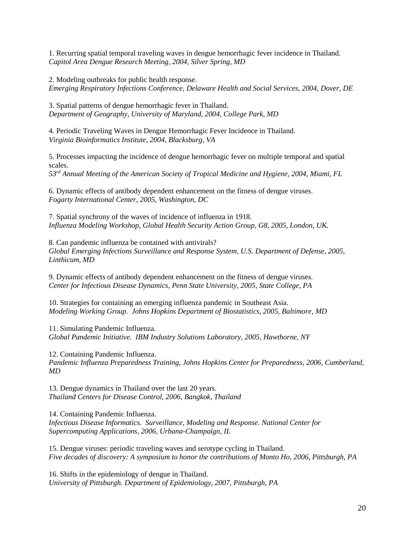1. Recurring spatial temporal traveling waves in dengue hemorrhagic fever incidence in Thailand. *Capitol Area Dengue Research Meeting, 2004, Silver Spring, MD*

2. Modeling outbreaks for public health response.

*Emerging Respiratory Infections Conference, Delaware Health and Social Services, 2004, Dover, DE*

3. Spatial patterns of dengue hemorrhagic fever in Thailand. *Department of Geography, University of Maryland, 2004, College Park, MD*

4. Periodic Traveling Waves in Dengue Hemorrhagic Fever Incidence in Thailand. *Virginia Bioinformatics Institute, 2004, Blacksburg, VA*

5. Processes impacting the incidence of dengue hemorrhagic fever on multiple temporal and spatial scales.

*53rd Annual Meeting of the American Society of Tropical Medicine and Hygiene, 2004, Miami, FL*

6. Dynamic effects of antibody dependent enhancement on the fitness of dengue viruses. *Fogarty International Center, 2005, Washington, DC*

7. Spatial synchrony of the waves of incidence of influenza in 1918. *Influenza Modeling Workshop, Global Health Security Action Group, G8, 2005, London, UK.* 

8. Can pandemic influenza be contained with antivirals? *Global Emerging Infections Surveillance and Response System, U.S. Department of Defense, 2005, Linthicum, MD*

9. Dynamic effects of antibody dependent enhancement on the fitness of dengue viruses. *Center for Infectious Disease Dynamics, Penn State University, 2005, State College, PA*

10. Strategies for containing an emerging influenza pandemic in Southeast Asia. *Modeling Working Group. Johns Hopkins Department of Biostatistics, 2005, Baltimore, MD*

11. Simulating Pandemic Influenza. *Global Pandemic Initiative. IBM Industry Solutions Laboratory, 2005, Hawthorne, NY*

12. Containing Pandemic Influenza. *Pandemic Influenza Preparedness Training, Johns Hopkins Center for Preparedness, 2006, Cumberland, MD* 

13. Dengue dynamics in Thailand over the last 20 years. *Thailand Centers for Disease Control, 2006, Bangkok, Thailand*

14. Containing Pandemic Influenza. *Infectious Disease Informatics. Surveillance, Modeling and Response. National Center for Supercomputing Applications, 2006, Urbana-Champaign, IL*

15. Dengue viruses: periodic traveling waves and serotype cycling in Thailand. *Five decades of discovery: A symposium to honor the contributions of Monto Ho, 2006, Pittsburgh, PA* 

16. Shifts in the epidemiology of dengue in Thailand. *University of Pittsburgh. Department of Epidemiology, 2007, Pittsburgh, PA*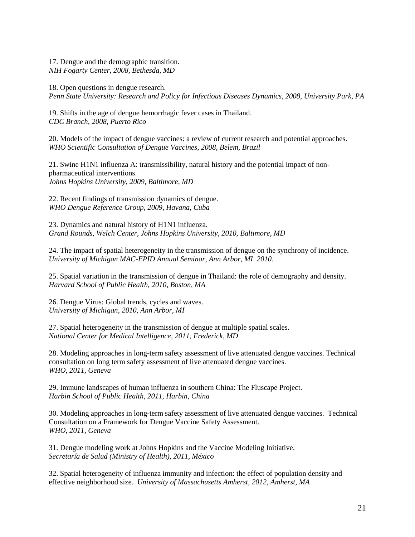17. Dengue and the demographic transition. *NIH Fogarty Center, 2008, Bethesda, MD*

18. Open questions in dengue research. *Penn State University: Research and Policy for Infectious Diseases Dynamics, 2008, University Park, PA*

19. Shifts in the age of dengue hemorrhagic fever cases in Thailand. *CDC Branch, 2008, Puerto Rico*

20. Models of the impact of dengue vaccines: a review of current research and potential approaches. *WHO Scientific Consultation of Dengue Vaccines, 2008, Belem, Brazil*

21. Swine H1N1 influenza A: transmissibility, natural history and the potential impact of nonpharmaceutical interventions. *Johns Hopkins University, 2009, Baltimore, MD*

22. Recent findings of transmission dynamics of dengue. *WHO Dengue Reference Group, 2009, Havana, Cuba*

23. Dynamics and natural history of H1N1 influenza. *Grand Rounds, Welch Center, Johns Hopkins University, 2010, Baltimore, MD*

24. The impact of spatial heterogeneity in the transmission of dengue on the synchrony of incidence. *University of Michigan MAC-EPID Annual Seminar, Ann Arbor, MI 2010.*

25. Spatial variation in the transmission of dengue in Thailand: the role of demography and density. *Harvard School of Public Health, 2010, Boston, MA*

26. Dengue Virus: Global trends, cycles and waves. *University of Michigan, 2010, Ann Arbor, MI*

27. Spatial heterogeneity in the transmission of dengue at multiple spatial scales. *National Center for Medical Intelligence, 2011, Frederick, MD*

28. Modeling approaches in long-term safety assessment of live attenuated dengue vaccines. Technical consultation on long term safety assessment of live attenuated dengue vaccines. *WHO, 2011, Geneva*

29. Immune landscapes of human influenza in southern China: The Fluscape Project. *Harbin School of Public Health, 2011, Harbin, China*

30. Modeling approaches in long-term safety assessment of live attenuated dengue vaccines. Technical Consultation on a Framework for Dengue Vaccine Safety Assessment. *WHO, 2011, Geneva*

31. Dengue modeling work at Johns Hopkins and the Vaccine Modeling Initiative. *Secretaría de Salud (Ministry of Health), 2011, México*

32. Spatial heterogeneity of influenza immunity and infection: the effect of population density and effective neighborhood size. *University of Massachusetts Amherst, 2012, Amherst, MA*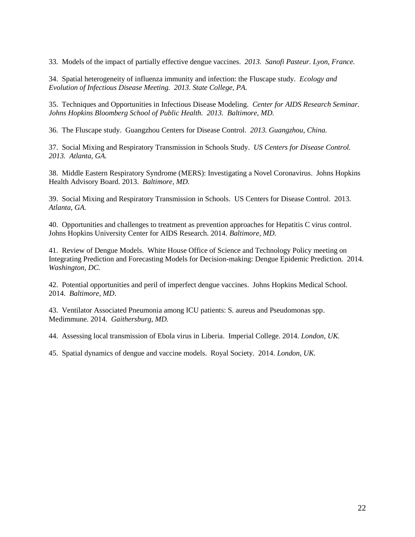33. Models of the impact of partially effective dengue vaccines. *2013. Sanofi Pasteur. Lyon, France.*

34. Spatial heterogeneity of influenza immunity and infection: the Fluscape study. *Ecology and Evolution of Infectious Disease Meeting. 2013. State College, PA.*

35. Techniques and Opportunities in Infectious Disease Modeling.*Center for AIDS Research Seminar. Johns Hopkins Bloomberg School of Public Health. 2013. Baltimore, MD.*

36. The Fluscape study. Guangzhou Centers for Disease Control. *2013. Guangzhou, China.*

37. Social Mixing and Respiratory Transmission in Schools Study. *US Centers for Disease Control. 2013. Atlanta, GA.*

38. Middle Eastern Respiratory Syndrome (MERS): Investigating a Novel Coronavirus. Johns Hopkins Health Advisory Board. 2013. *Baltimore, MD.*

39. Social Mixing and Respiratory Transmission in Schools. US Centers for Disease Control. 2013. *Atlanta, GA.* 

40. Opportunities and challenges to treatment as prevention approaches for Hepatitis C virus control. Johns Hopkins University Center for AIDS Research. 2014. *Baltimore, MD.*

41. Review of Dengue Models. White House Office of Science and Technology Policy meeting on Integrating Prediction and Forecasting Models for Decision-making: Dengue Epidemic Prediction. 2014. *Washington, DC.*

42. Potential opportunities and peril of imperfect dengue vaccines. Johns Hopkins Medical School. 2014. *Baltimore, MD*.

43. Ventilator Associated Pneumonia among ICU patients: S. aureus and Pseudomonas spp. Medimmune. 2014. *Gaithersburg, MD.*

44. Assessing local transmission of Ebola virus in Liberia. Imperial College. 2014. *London, UK.*

45. Spatial dynamics of dengue and vaccine models. Royal Society. 2014. *London, UK.*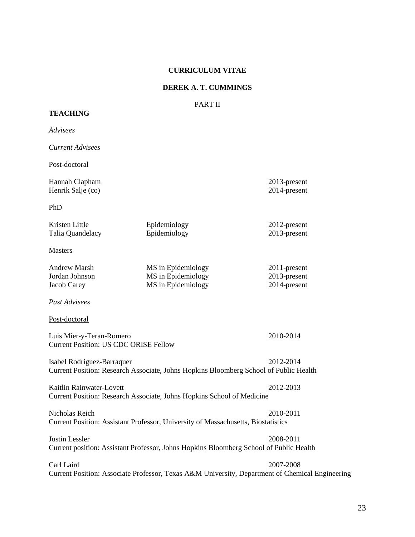#### **CURRICULUM VITAE**

# **DEREK A. T. CUMMINGS**

# PART II

# **TEACHING**

*Advisees Current Advisees* Post-doctoral Hannah Clapham 2013-present Henrik Salje (co) 2014-present PhD Kristen Little Epidemiology 2012-present Talia Quandelacy Epidemiology 2013-present Masters Andrew Marsh MS in Epidemiology 2011-present Jordan Johnson MS in Epidemiology 2013-present Jacob Carey MS in Epidemiology 2014-present *Past Advisees* Post-doctoral Luis Mier-y-Teran-Romero 2010-2014 Current Position: US CDC ORISE Fellow Isabel Rodriguez-Barraquer 2012-2014 Current Position: Research Associate, Johns Hopkins Bloomberg School of Public Health Kaitlin Rainwater-Lovett 2012-2013 Current Position: Research Associate, Johns Hopkins School of Medicine Nicholas Reich 2010-2011 Current Position: Assistant Professor, University of Massachusetts, Biostatistics

Justin Lessler 2008-2011 Current position: Assistant Professor, Johns Hopkins Bloomberg School of Public Health

Carl Laird 2007-2008 Current Position: Associate Professor, Texas A&M University, Department of Chemical Engineering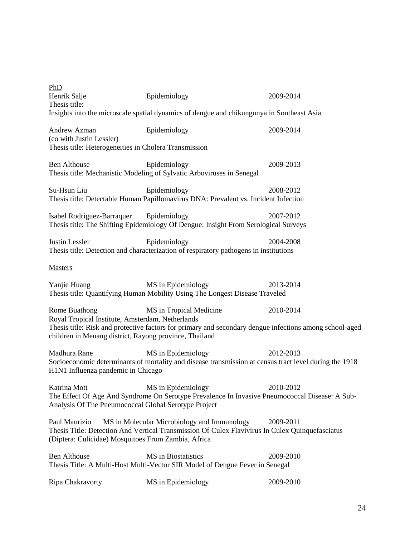| Epidemiology<br>Insights into the microscale spatial dynamics of dengue and chikungunya in Southeast Asia                                                                                                                                                                      | 2009-2014 |  |  |  |
|--------------------------------------------------------------------------------------------------------------------------------------------------------------------------------------------------------------------------------------------------------------------------------|-----------|--|--|--|
| Epidemiology<br>Thesis title: Heterogeneities in Cholera Transmission                                                                                                                                                                                                          | 2009-2014 |  |  |  |
| Epidemiology<br>Thesis title: Mechanistic Modeling of Sylvatic Arboviruses in Senegal                                                                                                                                                                                          | 2009-2013 |  |  |  |
| Epidemiology<br>Thesis title: Detectable Human Papillomavirus DNA: Prevalent vs. Incident Infection                                                                                                                                                                            | 2008-2012 |  |  |  |
| Isabel Rodriguez-Barraquer Epidemiology<br>Thesis title: The Shifting Epidemiology Of Dengue: Insight From Serological Surveys                                                                                                                                                 | 2007-2012 |  |  |  |
| Epidemiology<br>Thesis title: Detection and characterization of respiratory pathogens in institutions                                                                                                                                                                          | 2004-2008 |  |  |  |
|                                                                                                                                                                                                                                                                                |           |  |  |  |
| MS in Epidemiology<br>Thesis title: Quantifying Human Mobility Using The Longest Disease Traveled                                                                                                                                                                              | 2013-2014 |  |  |  |
| 2010-2014<br>Rome Buathong<br>MS in Tropical Medicine<br>Royal Tropical Institute, Amsterdam, Netherlands<br>Thesis title: Risk and protective factors for primary and secondary dengue infections among school-aged<br>children in Meuang district, Rayong province, Thailand |           |  |  |  |
| MS in Epidemiology<br>Socioeconomic determinants of mortality and disease transmission at census tract level during the 1918<br>H1N1 Influenza pandemic in Chicago                                                                                                             | 2012-2013 |  |  |  |
| MS in Epidemiology<br>The Effect Of Age And Syndrome On Serotype Prevalence In Invasive Pneumococcal Disease: A Sub-<br>Analysis Of The Pneumococcal Global Serotype Project                                                                                                   | 2010-2012 |  |  |  |
| MS in Molecular Microbiology and Immunology<br>Paul Maurizio<br>2009-2011<br>Thesis Title: Detection And Vertical Transmission Of Culex Flavivirus In Culex Quinquefasciatus<br>(Diptera: Culicidae) Mosquitoes From Zambia, Africa                                            |           |  |  |  |
| MS in Biostatistics<br>Thesis Title: A Multi-Host Multi-Vector SIR Model of Dengue Fever in Senegal                                                                                                                                                                            | 2009-2010 |  |  |  |
| MS in Epidemiology                                                                                                                                                                                                                                                             | 2009-2010 |  |  |  |
|                                                                                                                                                                                                                                                                                |           |  |  |  |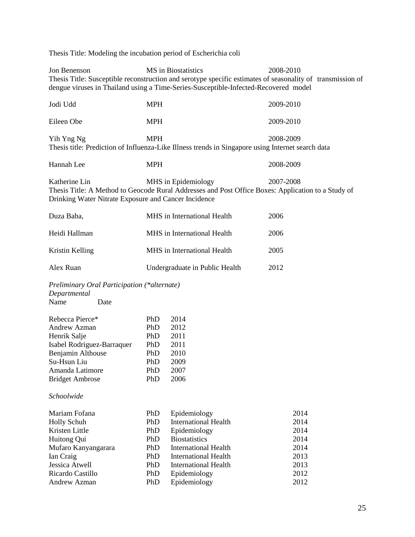Thesis Title: Modeling the incubation period of Escherichia coli

Jon Benenson MS in Biostatistics 2008-2010 Thesis Title: Susceptible reconstruction and serotype specific estimates of seasonality of transmission of dengue viruses in Thailand using a Time-Series-Susceptible-Infected-Recovered model

| Jodi Udd                                                                                                                                                                                                        | MPH                                                    |                                                                                                   | 2009-2010                    |  |
|-----------------------------------------------------------------------------------------------------------------------------------------------------------------------------------------------------------------|--------------------------------------------------------|---------------------------------------------------------------------------------------------------|------------------------------|--|
| Eileen Obe                                                                                                                                                                                                      | <b>MPH</b>                                             |                                                                                                   | 2009-2010                    |  |
| Yih Yng Ng                                                                                                                                                                                                      | <b>MPH</b>                                             | Thesis title: Prediction of Influenza-Like Illness trends in Singapore using Internet search data | 2008-2009                    |  |
| Hannah Lee                                                                                                                                                                                                      | <b>MPH</b>                                             |                                                                                                   | 2008-2009                    |  |
| Katherine Lin<br>MHS in Epidemiology<br>2007-2008<br>Thesis Title: A Method to Geocode Rural Addresses and Post Office Boxes: Application to a Study of<br>Drinking Water Nitrate Exposure and Cancer Incidence |                                                        |                                                                                                   |                              |  |
| Duza Baba,                                                                                                                                                                                                      |                                                        | MHS in International Health                                                                       | 2006                         |  |
| Heidi Hallman                                                                                                                                                                                                   |                                                        | MHS in International Health                                                                       | 2006                         |  |
| Kristin Kelling                                                                                                                                                                                                 |                                                        | MHS in International Health                                                                       | 2005                         |  |
| Alex Ruan                                                                                                                                                                                                       |                                                        | Undergraduate in Public Health                                                                    | 2012                         |  |
| Preliminary Oral Participation (*alternate)<br>Departmental<br>Name<br>Date                                                                                                                                     |                                                        |                                                                                                   |                              |  |
| Rebecca Pierce*<br><b>Andrew Azman</b><br>Henrik Salje<br>Isabel Rodriguez-Barraquer<br>Benjamin Althouse<br>Su-Hsun Liu<br>Amanda Latimore<br><b>Bridget Ambrose</b>                                           | PhD<br>PhD.<br>PhD<br>PhD<br>PhD.<br>PhD<br>PhD<br>PhD | 2014<br>2012<br>2011<br>2011<br>2010<br>2009<br>2007<br>2006                                      |                              |  |
| Schoolwide                                                                                                                                                                                                      |                                                        |                                                                                                   |                              |  |
| Mariam Fofana<br>Holly Schuh<br>Kristen Little<br>Huitong Qui                                                                                                                                                   | PhD<br>PhD<br>PhD<br>PhD                               | Epidemiology<br><b>International Health</b><br>Epidemiology<br><b>Biostatistics</b>               | 2014<br>2014<br>2014<br>2014 |  |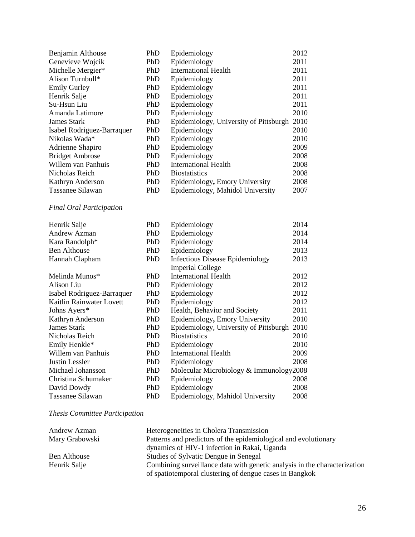| Benjamin Althouse          | PhD        | Epidemiology                           | 2012 |
|----------------------------|------------|----------------------------------------|------|
| Genevieve Wojcik           | PhD        | Epidemiology                           | 2011 |
| Michelle Mergier*          | PhD        | <b>International Health</b>            | 2011 |
| Alison Turnbull*           | PhD        | Epidemiology                           | 2011 |
| <b>Emily Gurley</b>        | PhD        | Epidemiology                           | 2011 |
| Henrik Salje               | PhD        | Epidemiology                           | 2011 |
| Su-Hsun Liu                | PhD        | Epidemiology                           | 2011 |
| Amanda Latimore            | PhD        | Epidemiology                           | 2010 |
| James Stark                | PhD        | Epidemiology, University of Pittsburgh | 2010 |
| Isabel Rodriguez-Barraquer | PhD        | Epidemiology                           | 2010 |
| Nikolas Wada*              | PhD        | Epidemiology                           | 2010 |
| Adrienne Shapiro           | PhD        | Epidemiology                           | 2009 |
| <b>Bridget Ambrose</b>     | PhD        | Epidemiology                           | 2008 |
| Willem van Panhuis         | PhD        | International Health                   | 2008 |
| Nicholas Reich             | <b>PhD</b> | <b>Biostatistics</b>                   | 2008 |
| Kathryn Anderson           | PhD        | Epidemiology, Emory University         | 2008 |
| Tassanee Silawan           | PhD        | Epidemiology, Mahidol University       | 2007 |
|                            |            |                                        |      |

# *Final Oral Participation*

| PhD | Epidemiology                           | 2014                                    |
|-----|----------------------------------------|-----------------------------------------|
| PhD | Epidemiology                           | 2014                                    |
| PhD | Epidemiology                           | 2014                                    |
| PhD | Epidemiology                           | 2013                                    |
| PhD | <b>Infectious Disease Epidemiology</b> | 2013                                    |
|     | <b>Imperial College</b>                |                                         |
| PhD | <b>International Health</b>            | 2012                                    |
| PhD | Epidemiology                           | 2012                                    |
| PhD | Epidemiology                           | 2012                                    |
| PhD | Epidemiology                           | 2012                                    |
| PhD | Health, Behavior and Society           | 2011                                    |
| PhD | Epidemiology, Emory University         | 2010                                    |
| PhD | Epidemiology, University of Pittsburgh | 2010                                    |
| PhD | <b>Biostatistics</b>                   | 2010                                    |
| PhD | Epidemiology                           | 2010                                    |
| PhD | International Health                   | 2009                                    |
| PhD | Epidemiology                           | 2008                                    |
| PhD |                                        |                                         |
| PhD | Epidemiology                           | 2008                                    |
| PhD | Epidemiology                           | 2008                                    |
| PhD | Epidemiology, Mahidol University       | 2008                                    |
|     |                                        | Molecular Microbiology & Immunology2008 |

# *Thesis Committee Participation*

| Andrew Azman   | Heterogeneities in Cholera Transmission                                                                                              |
|----------------|--------------------------------------------------------------------------------------------------------------------------------------|
| Mary Grabowski | Patterns and predictors of the epidemiological and evolutionary                                                                      |
|                | dynamics of HIV-1 infection in Rakai, Uganda                                                                                         |
| Ben Althouse   | Studies of Sylvatic Dengue in Senegal                                                                                                |
| Henrik Salje   | Combining surveillance data with genetic analysis in the characterization<br>of spatiotemporal clustering of dengue cases in Bangkok |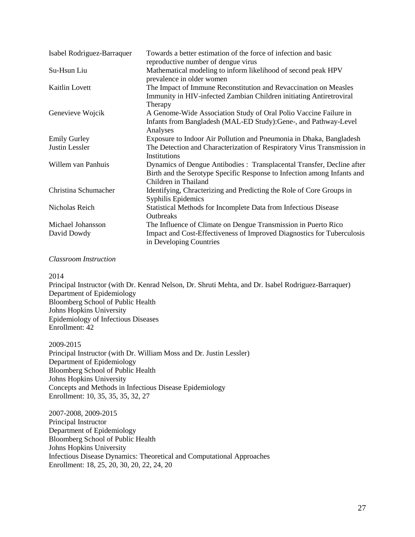| Isabel Rodriguez-Barraquer | Towards a better estimation of the force of infection and basic<br>reproductive number of dengue virus                                                                    |
|----------------------------|---------------------------------------------------------------------------------------------------------------------------------------------------------------------------|
| Su-Hsun Liu                | Mathematical modeling to inform likelihood of second peak HPV<br>prevalence in older women                                                                                |
| Kaitlin Lovett             | The Impact of Immune Reconstitution and Revaccination on Measles<br>Immunity in HIV-infected Zambian Children initiating Antiretroviral<br>Therapy                        |
| Genevieve Wojcik           | A Genome-Wide Association Study of Oral Polio Vaccine Failure in<br>Infants from Bangladesh (MAL-ED Study): Gene-, and Pathway-Level<br>Analyses                          |
| <b>Emily Gurley</b>        | Exposure to Indoor Air Pollution and Pneumonia in Dhaka, Bangladesh                                                                                                       |
| <b>Justin Lessler</b>      | The Detection and Characterization of Respiratory Virus Transmission in<br>Institutions                                                                                   |
| Willem van Panhuis         | Dynamics of Dengue Antibodies : Transplacental Transfer, Decline after<br>Birth and the Serotype Specific Response to Infection among Infants and<br>Children in Thailand |
| Christina Schumacher       | Identifying, Chracterizing and Predicting the Role of Core Groups in<br>Syphilis Epidemics                                                                                |
| Nicholas Reich             | Statistical Methods for Incomplete Data from Infectious Disease<br><b>Outbreaks</b>                                                                                       |
| Michael Johansson          | The Influence of Climate on Dengue Transmission in Puerto Rico                                                                                                            |
| David Dowdy                | Impact and Cost-Effectiveness of Improved Diagnostics for Tuberculosis<br>in Developing Countries                                                                         |

### *Classroom Instruction*

#### 2014

Principal Instructor (with Dr. Kenrad Nelson, Dr. Shruti Mehta, and Dr. Isabel Rodriguez-Barraquer) Department of Epidemiology Bloomberg School of Public Health Johns Hopkins University Epidemiology of Infectious Diseases Enrollment: 42

2009-2015

Principal Instructor (with Dr. William Moss and Dr. Justin Lessler) Department of Epidemiology Bloomberg School of Public Health Johns Hopkins University Concepts and Methods in Infectious Disease Epidemiology Enrollment: 10, 35, 35, 35, 32, 27

2007-2008, 2009-2015 Principal Instructor Department of Epidemiology Bloomberg School of Public Health Johns Hopkins University Infectious Disease Dynamics: Theoretical and Computational Approaches Enrollment: 18, 25, 20, 30, 20, 22, 24, 20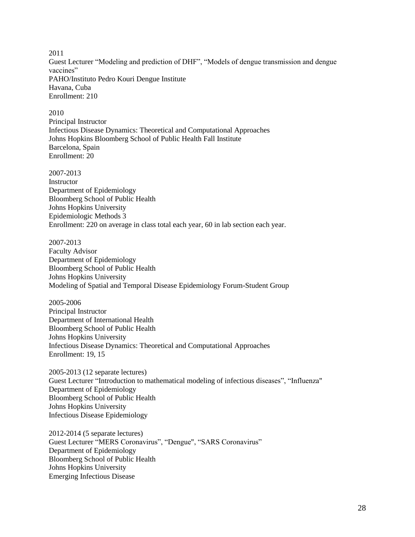2011 Guest Lecturer "Modeling and prediction of DHF", "Models of dengue transmission and dengue vaccines" PAHO/Instituto Pedro Kouri Dengue Institute Havana, Cuba Enrollment: 210

#### 2010

Principal Instructor Infectious Disease Dynamics: Theoretical and Computational Approaches Johns Hopkins Bloomberg School of Public Health Fall Institute Barcelona, Spain Enrollment: 20

2007-2013

Instructor Department of Epidemiology Bloomberg School of Public Health Johns Hopkins University Epidemiologic Methods 3 Enrollment: 220 on average in class total each year, 60 in lab section each year.

#### 2007-2013

Faculty Advisor Department of Epidemiology Bloomberg School of Public Health Johns Hopkins University Modeling of Spatial and Temporal Disease Epidemiology Forum-Student Group

2005-2006 Principal Instructor Department of International Health Bloomberg School of Public Health Johns Hopkins University Infectious Disease Dynamics: Theoretical and Computational Approaches Enrollment: 19, 15

2005-2013 (12 separate lectures) Guest Lecturer "Introduction to mathematical modeling of infectious diseases", "Influenza" Department of Epidemiology Bloomberg School of Public Health Johns Hopkins University Infectious Disease Epidemiology

2012-2014 (5 separate lectures) Guest Lecturer "MERS Coronavirus", "Dengue", "SARS Coronavirus" Department of Epidemiology Bloomberg School of Public Health Johns Hopkins University Emerging Infectious Disease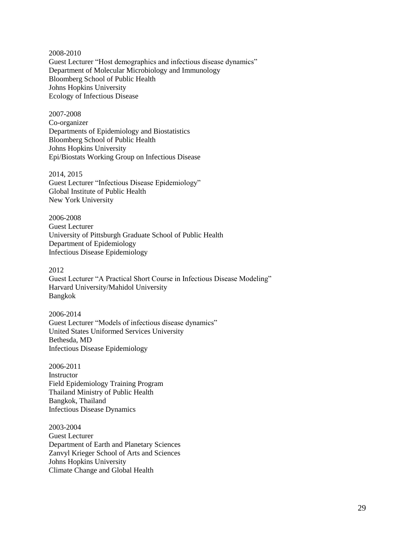2008-2010 Guest Lecturer "Host demographics and infectious disease dynamics" Department of Molecular Microbiology and Immunology Bloomberg School of Public Health Johns Hopkins University Ecology of Infectious Disease

2007-2008 Co-organizer Departments of Epidemiology and Biostatistics Bloomberg School of Public Health Johns Hopkins University Epi/Biostats Working Group on Infectious Disease

2014, 2015 Guest Lecturer "Infectious Disease Epidemiology" Global Institute of Public Health New York University

2006-2008 Guest Lecturer University of Pittsburgh Graduate School of Public Health Department of Epidemiology Infectious Disease Epidemiology

2012 Guest Lecturer "A Practical Short Course in Infectious Disease Modeling" Harvard University/Mahidol University Bangkok

2006-2014 Guest Lecturer "Models of infectious disease dynamics" United States Uniformed Services University Bethesda, MD Infectious Disease Epidemiology

2006-2011 **Instructor** Field Epidemiology Training Program Thailand Ministry of Public Health Bangkok, Thailand Infectious Disease Dynamics

2003-2004 Guest Lecturer Department of Earth and Planetary Sciences Zanvyl Krieger School of Arts and Sciences Johns Hopkins University Climate Change and Global Health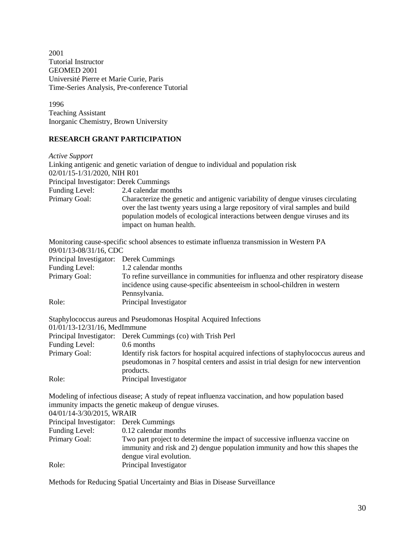2001 Tutorial Instructor GEOMED 2001 Université Pierre et Marie Curie, Paris Time-Series Analysis, Pre-conference Tutorial

1996 Teaching Assistant Inorganic Chemistry, Brown University

# **RESEARCH GRANT PARTICIPATION**

| Characterize the genetic and antigenic variability of dengue viruses circulating |
|----------------------------------------------------------------------------------|
| over the last twenty years using a large repository of viral samples and build   |
| population models of ecological interactions between dengue viruses and its      |
|                                                                                  |
|                                                                                  |

Monitoring cause-specific school absences to estimate influenza transmission in Western PA 09/01/13-08/31/16, CDC

| Principal Investigator: Derek Cummings |                                                                                                                                                               |
|----------------------------------------|---------------------------------------------------------------------------------------------------------------------------------------------------------------|
| Funding Level:                         | 1.2 calendar months                                                                                                                                           |
| Primary Goal:                          | To refine surveillance in communities for influenza and other respiratory disease<br>incidence using cause-specific absenteeism in school-children in western |
|                                        | Pennsylvania.                                                                                                                                                 |
| Role:                                  | Principal Investigator                                                                                                                                        |

Staphylococcus aureus and Pseudomonas Hospital Acquired Infections

01/01/13-12/31/16, MedImmune

|                | Principal Investigator: Derek Cummings (co) with Trish Perl                                                                                                                           |
|----------------|---------------------------------------------------------------------------------------------------------------------------------------------------------------------------------------|
| Funding Level: | 0.6 months                                                                                                                                                                            |
| Primary Goal:  | Identify risk factors for hospital acquired infections of staphylococcus aureus and<br>pseudomonas in 7 hospital centers and assist in trial design for new intervention<br>products. |
| Role:          | Principal Investigator                                                                                                                                                                |

Modeling of infectious disease; A study of repeat influenza vaccination, and how population based immunity impacts the genetic makeup of dengue viruses.

04/01/14-3/30/2015, WRAIR Principal Investigator: Derek Cummings Funding Level: 0.12 calendar months Primary Goal: Two part project to determine the impact of successive influenza vaccine on immunity and risk and 2) dengue population immunity and how this shapes the dengue viral evolution. Role: Principal Investigator

Methods for Reducing Spatial Uncertainty and Bias in Disease Surveillance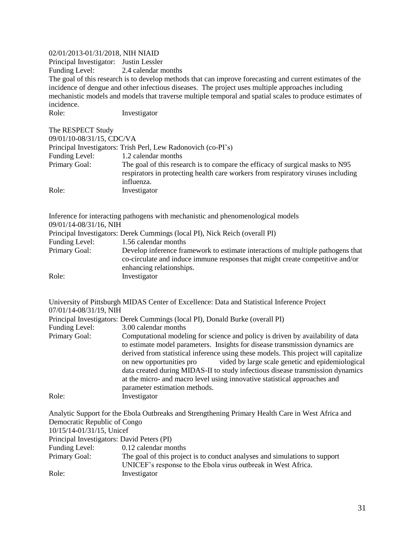## 02/01/2013-01/31/2018, NIH NIAID

Principal Investigator: Justin Lessler Funding Level: 2.4 calendar months The goal of this research is to develop methods that can improve forecasting and current estimates of the incidence of dengue and other infectious diseases. The project uses multiple approaches including mechanistic models and models that traverse multiple temporal and spatial scales to produce estimates of incidence. Role: Investigator

| The RESPECT Study         |                                                                                                                                                                                 |
|---------------------------|---------------------------------------------------------------------------------------------------------------------------------------------------------------------------------|
| 09/01/10-08/31/15, CDC/VA |                                                                                                                                                                                 |
|                           | Principal Investigators: Trish Perl, Lew Radonovich (co-PI's)                                                                                                                   |
| Funding Level:            | 1.2 calendar months                                                                                                                                                             |
| Primary Goal:             | The goal of this research is to compare the efficacy of surgical masks to N95<br>respirators in protecting health care workers from respiratory viruses including<br>influenza. |
| Role:                     | Investigator                                                                                                                                                                    |

| 09/01/14-08/31/16, NIH | Inference for interacting pathogens with mechanistic and phenomenological models                                                                                                             |
|------------------------|----------------------------------------------------------------------------------------------------------------------------------------------------------------------------------------------|
|                        | Principal Investigators: Derek Cummings (local PI), Nick Reich (overall PI)                                                                                                                  |
| Funding Level:         | 1.56 calendar months                                                                                                                                                                         |
| Primary Goal:          | Develop inference framework to estimate interactions of multiple pathogens that<br>co-circulate and induce immune responses that might create competitive and/or<br>enhancing relationships. |
| Role:                  | Investigator                                                                                                                                                                                 |

| 07/01/14-08/31/19, NIH | University of Pittsburgh MIDAS Center of Excellence: Data and Statistical Inference Project                                                                                                                                                                                                                                                                                                                                                                                                                                            |
|------------------------|----------------------------------------------------------------------------------------------------------------------------------------------------------------------------------------------------------------------------------------------------------------------------------------------------------------------------------------------------------------------------------------------------------------------------------------------------------------------------------------------------------------------------------------|
|                        | Principal Investigators: Derek Cummings (local PI), Donald Burke (overall PI)                                                                                                                                                                                                                                                                                                                                                                                                                                                          |
| Funding Level:         | 3.00 calendar months                                                                                                                                                                                                                                                                                                                                                                                                                                                                                                                   |
| Primary Goal:          | Computational modeling for science and policy is driven by availability of data<br>to estimate model parameters. Insights for disease transmission dynamics are<br>derived from statistical inference using these models. This project will capitalize<br>vided by large scale genetic and epidemiological<br>on new opportunities pro<br>data created during MIDAS-II to study infectious disease transmission dynamics<br>at the micro- and macro level using innovative statistical approaches and<br>parameter estimation methods. |
| Role:                  | Investigator                                                                                                                                                                                                                                                                                                                                                                                                                                                                                                                           |

Analytic Support for the Ebola Outbreaks and Strengthening Primary Health Care in West Africa and Democratic Republic of Congo 10/15/14-01/31/15, Unicef Principal Investigators: David Peters (PI)<br>Funding Level: 0.12 calendar mo Funding Level: 0.12 calendar months<br>Primary Goal: The goal of this project The goal of this project is to conduct analyses and simulations to support UNICEF's response to the Ebola virus outbreak in West Africa. Role: Investigator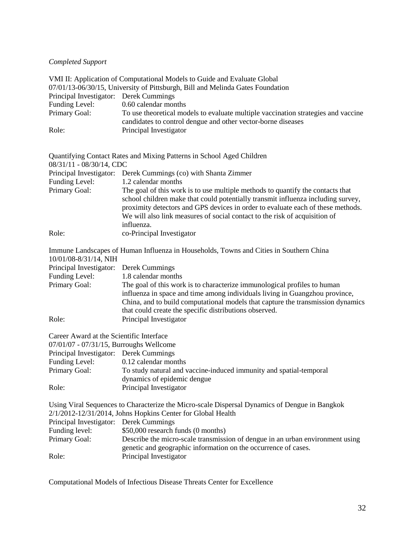# *Completed Support*

|                                                                           | VMI II: Application of Computational Models to Guide and Evaluate Global                                                                                                                                                                                                                                                                          |
|---------------------------------------------------------------------------|---------------------------------------------------------------------------------------------------------------------------------------------------------------------------------------------------------------------------------------------------------------------------------------------------------------------------------------------------|
|                                                                           | 07/01/13-06/30/15, University of Pittsburgh, Bill and Melinda Gates Foundation                                                                                                                                                                                                                                                                    |
| Principal Investigator: Derek Cummings                                    |                                                                                                                                                                                                                                                                                                                                                   |
| Funding Level:                                                            | 0.60 calendar months                                                                                                                                                                                                                                                                                                                              |
| Primary Goal:                                                             | To use theoretical models to evaluate multiple vaccination strategies and vaccine<br>candidates to control dengue and other vector-borne diseases                                                                                                                                                                                                 |
| Role:                                                                     | Principal Investigator                                                                                                                                                                                                                                                                                                                            |
| 08/31/11 - 08/30/14, CDC                                                  | Quantifying Contact Rates and Mixing Patterns in School Aged Children                                                                                                                                                                                                                                                                             |
| Funding Level:                                                            | Principal Investigator: Derek Cummings (co) with Shanta Zimmer<br>1.2 calendar months                                                                                                                                                                                                                                                             |
| Primary Goal:                                                             | The goal of this work is to use multiple methods to quantify the contacts that<br>school children make that could potentially transmit influenza including survey,<br>proximity detectors and GPS devices in order to evaluate each of these methods.<br>We will also link measures of social contact to the risk of acquisition of<br>influenza. |
| Role:                                                                     | co-Principal Investigator                                                                                                                                                                                                                                                                                                                         |
| 10/01/08-8/31/14, NIH                                                     | Immune Landscapes of Human Influenza in Households, Towns and Cities in Southern China                                                                                                                                                                                                                                                            |
| Principal Investigator:                                                   | Derek Cummings                                                                                                                                                                                                                                                                                                                                    |
| Funding Level:                                                            | 1.8 calendar months                                                                                                                                                                                                                                                                                                                               |
| Primary Goal:                                                             | The goal of this work is to characterize immunological profiles to human<br>influenza in space and time among individuals living in Guangzhou province,<br>China, and to build computational models that capture the transmission dynamics<br>that could create the specific distributions observed.                                              |
| Role:                                                                     | Principal Investigator                                                                                                                                                                                                                                                                                                                            |
| Career Award at the Scientific Interface                                  |                                                                                                                                                                                                                                                                                                                                                   |
| 07/01/07 - 07/31/15, Burroughs Wellcome                                   |                                                                                                                                                                                                                                                                                                                                                   |
| Principal Investigator: Derek Cummings                                    |                                                                                                                                                                                                                                                                                                                                                   |
| Funding Level:                                                            | 0.12 calendar months                                                                                                                                                                                                                                                                                                                              |
| Primary Goal:                                                             | To study natural and vaccine-induced immunity and spatial-temporal                                                                                                                                                                                                                                                                                |
| Role:                                                                     | dynamics of epidemic dengue<br>Principal Investigator                                                                                                                                                                                                                                                                                             |
| Principal Investigator: Derek Cummings<br>Funding level:<br>Primary Goal: | Using Viral Sequences to Characterize the Micro-scale Dispersal Dynamics of Dengue in Bangkok<br>2/1/2012-12/31/2014, Johns Hopkins Center for Global Health<br>\$50,000 research funds (0 months)<br>Describe the micro-scale transmission of dengue in an urban environment using                                                               |
| Role:                                                                     | genetic and geographic information on the occurrence of cases.<br>Principal Investigator                                                                                                                                                                                                                                                          |

Computational Models of Infectious Disease Threats Center for Excellence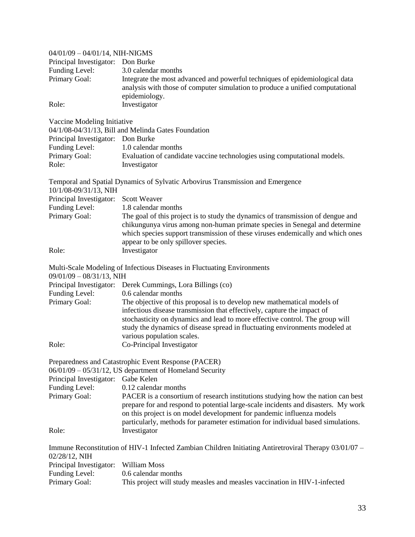| 04/01/09 - 04/01/14, NIH-NIGMS       |                                                                                                                                                                                                                                                                                                                                   |
|--------------------------------------|-----------------------------------------------------------------------------------------------------------------------------------------------------------------------------------------------------------------------------------------------------------------------------------------------------------------------------------|
| Principal Investigator: Don Burke    |                                                                                                                                                                                                                                                                                                                                   |
| Funding Level:                       | 3.0 calendar months                                                                                                                                                                                                                                                                                                               |
| Primary Goal:                        | Integrate the most advanced and powerful techniques of epidemiological data<br>analysis with those of computer simulation to produce a unified computational<br>epidemiology.                                                                                                                                                     |
| Role:                                | Investigator                                                                                                                                                                                                                                                                                                                      |
| Vaccine Modeling Initiative          |                                                                                                                                                                                                                                                                                                                                   |
|                                      | 04/1/08-04/31/13, Bill and Melinda Gates Foundation                                                                                                                                                                                                                                                                               |
| Principal Investigator: Don Burke    |                                                                                                                                                                                                                                                                                                                                   |
| Funding Level:                       | 1.0 calendar months                                                                                                                                                                                                                                                                                                               |
| Primary Goal:                        | Evaluation of candidate vaccine technologies using computational models.                                                                                                                                                                                                                                                          |
| Role:                                | Investigator                                                                                                                                                                                                                                                                                                                      |
| 10/1/08-09/31/13, NIH                | Temporal and Spatial Dynamics of Sylvatic Arbovirus Transmission and Emergence                                                                                                                                                                                                                                                    |
| Principal Investigator: Scott Weaver |                                                                                                                                                                                                                                                                                                                                   |
| Funding Level:                       | 1.8 calendar months                                                                                                                                                                                                                                                                                                               |
| Primary Goal:                        | The goal of this project is to study the dynamics of transmission of dengue and<br>chikungunya virus among non-human primate species in Senegal and determine<br>which species support transmission of these viruses endemically and which ones<br>appear to be only spillover species.                                           |
| Role:                                | Investigator                                                                                                                                                                                                                                                                                                                      |
| $09/01/09 - 08/31/13$ , NIH          | Multi-Scale Modeling of Infectious Diseases in Fluctuating Environments                                                                                                                                                                                                                                                           |
|                                      | Principal Investigator: Derek Cummings, Lora Billings (co)                                                                                                                                                                                                                                                                        |
| Funding Level:                       | 0.6 calendar months                                                                                                                                                                                                                                                                                                               |
| Primary Goal:                        | The objective of this proposal is to develop new mathematical models of                                                                                                                                                                                                                                                           |
|                                      | infectious disease transmission that effectively, capture the impact of<br>stochasticity on dynamics and lead to more effective control. The group will<br>study the dynamics of disease spread in fluctuating environments modeled at<br>various population scales.                                                              |
| Role:                                | Co-Principal Investigator                                                                                                                                                                                                                                                                                                         |
|                                      | Preparedness and Catastrophic Event Response (PACER)                                                                                                                                                                                                                                                                              |
|                                      | $06/01/09 - 05/31/12$ , US department of Homeland Security                                                                                                                                                                                                                                                                        |
| Principal Investigator: Gabe Kelen   |                                                                                                                                                                                                                                                                                                                                   |
| Funding Level:                       | 0.12 calendar months                                                                                                                                                                                                                                                                                                              |
| Primary Goal:                        | PACER is a consortium of research institutions studying how the nation can best<br>prepare for and respond to potential large-scale incidents and disasters. My work<br>on this project is on model development for pandemic influenza models<br>particularly, methods for parameter estimation for individual based simulations. |
| Role:                                | Investigator                                                                                                                                                                                                                                                                                                                      |
| 02/28/12, NIH                        | Immune Reconstitution of HIV-1 Infected Zambian Children Initiating Antiretroviral Therapy 03/01/07 –                                                                                                                                                                                                                             |
| Principal Investigator:              | William Moss                                                                                                                                                                                                                                                                                                                      |
| Funding Level:                       | 0.6 calendar months                                                                                                                                                                                                                                                                                                               |
| Primary Goal:                        | This project will study measles and measles vaccination in HIV-1-infected                                                                                                                                                                                                                                                         |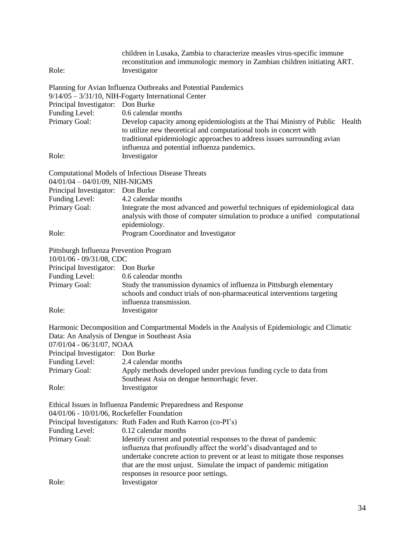| Role:                                                               | children in Lusaka, Zambia to characterize measles virus-specific immune<br>reconstitution and immunologic memory in Zambian children initiating ART.<br>Investigator |
|---------------------------------------------------------------------|-----------------------------------------------------------------------------------------------------------------------------------------------------------------------|
|                                                                     | Planning for Avian Influenza Outbreaks and Potential Pandemics                                                                                                        |
|                                                                     | $9/14/05 - 3/31/10$ , NIH-Fogarty International Center                                                                                                                |
| Principal Investigator: Don Burke                                   |                                                                                                                                                                       |
| Funding Level:                                                      | 0.6 calendar months                                                                                                                                                   |
| Primary Goal:                                                       | Develop capacity among epidemiologists at the Thai Ministry of Public Health<br>to utilize new theoretical and computational tools in concert with                    |
|                                                                     | traditional epidemiologic approaches to address issues surrounding avian                                                                                              |
|                                                                     | influenza and potential influenza pandemics.                                                                                                                          |
| Role:                                                               | Investigator                                                                                                                                                          |
|                                                                     | Computational Models of Infectious Disease Threats                                                                                                                    |
| 04/01/04 - 04/01/09, NIH-NIGMS                                      |                                                                                                                                                                       |
| Principal Investigator: Don Burke                                   |                                                                                                                                                                       |
| Funding Level:                                                      | 4.2 calendar months                                                                                                                                                   |
| Primary Goal:                                                       | Integrate the most advanced and powerful techniques of epidemiological data<br>analysis with those of computer simulation to produce a unified computational          |
|                                                                     | epidemiology.                                                                                                                                                         |
| Role:                                                               | Program Coordinator and Investigator                                                                                                                                  |
|                                                                     |                                                                                                                                                                       |
| Pittsburgh Influenza Prevention Program<br>10/01/06 - 09/31/08, CDC |                                                                                                                                                                       |
| Principal Investigator: Don Burke                                   |                                                                                                                                                                       |
| Funding Level:                                                      | 0.6 calendar months                                                                                                                                                   |
| Primary Goal:                                                       | Study the transmission dynamics of influenza in Pittsburgh elementary                                                                                                 |
|                                                                     | schools and conduct trials of non-pharmaceutical interventions targeting                                                                                              |
|                                                                     | influenza transmission.                                                                                                                                               |
| Role:                                                               | Investigator                                                                                                                                                          |
| 07/01/04 - 06/31/07, NOAA                                           | Harmonic Decomposition and Compartmental Models in the Analysis of Epidemiologic and Climatic<br>Data: An Analysis of Dengue in Southeast Asia                        |
| Principal Investigator: Don Burke                                   |                                                                                                                                                                       |
| Funding Level:                                                      | 2.4 calendar months                                                                                                                                                   |
| Primary Goal:                                                       | Apply methods developed under previous funding cycle to data from<br>Southeast Asia on dengue hemorrhagic fever.                                                      |
| Role:                                                               | Investigator                                                                                                                                                          |
|                                                                     | Ethical Issues in Influenza Pandemic Preparedness and Response                                                                                                        |
| 04/01/06 - 10/01/06, Rockefeller Foundation                         |                                                                                                                                                                       |
|                                                                     | Principal Investigators: Ruth Faden and Ruth Karron (co-PI's)                                                                                                         |
| Funding Level:                                                      | 0.12 calendar months                                                                                                                                                  |
| Primary Goal:                                                       | Identify current and potential responses to the threat of pandemic<br>influenza that profoundly affect the world's disadvantaged and to                               |
|                                                                     | undertake concrete action to prevent or at least to mitigate those responses                                                                                          |
|                                                                     | that are the most unjust. Simulate the impact of pandemic mitigation                                                                                                  |
|                                                                     | responses in resource poor settings.                                                                                                                                  |
| Role:                                                               | Investigator                                                                                                                                                          |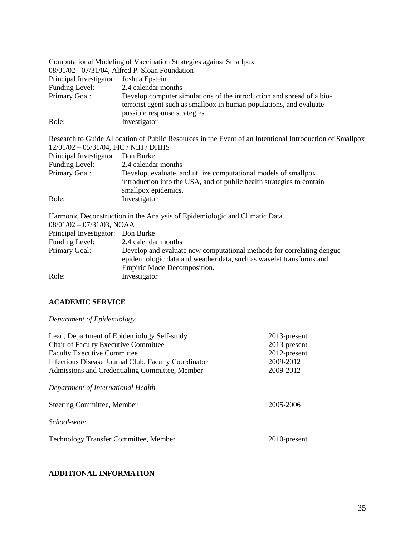| Computational Modeling of Vaccination Strategies against Smallpox |                                                                                                          |  |
|-------------------------------------------------------------------|----------------------------------------------------------------------------------------------------------|--|
|                                                                   | 08/01/02 - 07/31/04, Alfred P. Sloan Foundation                                                          |  |
| Principal Investigator: Joshua Epstein                            |                                                                                                          |  |
| Funding Level: 2.4 calendar months                                |                                                                                                          |  |
| Primary Goal:                                                     | Develop computer simulations of the introduction and spread of a bio-                                    |  |
|                                                                   | terrorist agent such as smallpox in human populations, and evaluate                                      |  |
|                                                                   | possible response strategies.                                                                            |  |
| Role:                                                             | Investigator                                                                                             |  |
|                                                                   | Research to Guide Allocation of Public Resources in the Event of an Intentional Introduction of Smallpox |  |
| $12/01/02 - 05/31/04$ , FIC / NIH / DHHS                          |                                                                                                          |  |
| Principal Investigator: Don Burke                                 |                                                                                                          |  |
| Funding Level:                                                    | 2.4 calendar months                                                                                      |  |
| Primary Goal:                                                     | Develop, evaluate, and utilize computational models of smallpox                                          |  |
|                                                                   | introduction into the USA, and of public health strategies to contain                                    |  |
|                                                                   | smallpox epidemics.                                                                                      |  |
| Role:                                                             | Investigator                                                                                             |  |
|                                                                   | Harmonic Deconstruction in the Analysis of Epidemiologic and Climatic Data.                              |  |
| $08/01/02 - 07/31/03$ , NOAA                                      |                                                                                                          |  |
| Principal Investigator: Don Burke                                 |                                                                                                          |  |
|                                                                   |                                                                                                          |  |

| Funding Level: | 2.4 calendar months                                                   |
|----------------|-----------------------------------------------------------------------|
| Primary Goal:  | Develop and evaluate new computational methods for correlating dengue |
|                | epidemiologic data and weather data, such as wavelet transforms and   |
|                | Empiric Mode Decomposition.                                           |
| Role:          | Investigator                                                          |

# **ACADEMIC SERVICE**

*Department of Epidemiology*

| Lead, Department of Epidemiology Self-study<br><b>Chair of Faculty Executive Committee</b><br><b>Faculty Executive Committee</b><br>Infectious Disease Journal Club, Faculty Coordinator<br>Admissions and Credentialing Committee, Member | 2013-present<br>2013-present<br>2012-present<br>2009-2012<br>2009-2012 |
|--------------------------------------------------------------------------------------------------------------------------------------------------------------------------------------------------------------------------------------------|------------------------------------------------------------------------|
| Department of International Health                                                                                                                                                                                                         |                                                                        |
| Steering Committee, Member                                                                                                                                                                                                                 | 2005-2006                                                              |
| School-wide                                                                                                                                                                                                                                |                                                                        |
| <b>Technology Transfer Committee, Member</b>                                                                                                                                                                                               | 2010-present                                                           |

# **ADDITIONAL INFORMATION**